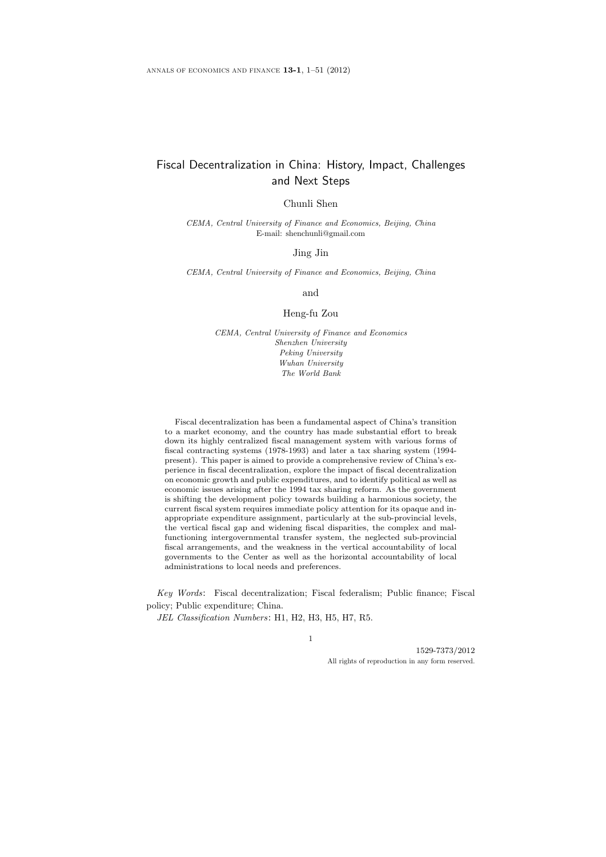# Fiscal Decentralization in China: History, Impact, Challenges and Next Steps

Chunli Shen

*CEMA, Central University of Finance and Economics, Beijing, China* E-mail: shenchunli@gmail.com

Jing Jin

*CEMA, Central University of Finance and Economics, Beijing, China*

and

Heng-fu Zou

*CEMA, Central University of Finance and Economics Shenzhen University Peking University Wuhan University The World Bank*

Fiscal decentralization has been a fundamental aspect of China's transition to a market economy, and the country has made substantial effort to break down its highly centralized fiscal management system with various forms of fiscal contracting systems (1978-1993) and later a tax sharing system (1994 present). This paper is aimed to provide a comprehensive review of China's experience in fiscal decentralization, explore the impact of fiscal decentralization on economic growth and public expenditures, and to identify political as well as economic issues arising after the 1994 tax sharing reform. As the government is shifting the development policy towards building a harmonious society, the current fiscal system requires immediate policy attention for its opaque and inappropriate expenditure assignment, particularly at the sub-provincial levels, the vertical fiscal gap and widening fiscal disparities, the complex and malfunctioning intergovernmental transfer system, the neglected sub-provincial fiscal arrangements, and the weakness in the vertical accountability of local governments to the Center as well as the horizontal accountability of local administrations to local needs and preferences.

*Key Words*: Fiscal decentralization; Fiscal federalism; Public finance; Fiscal policy; Public expenditure; China.

*JEL Classification Numbers*: H1, H2, H3, H5, H7, R5.

1

1529-7373/2012 All rights of reproduction in any form reserved.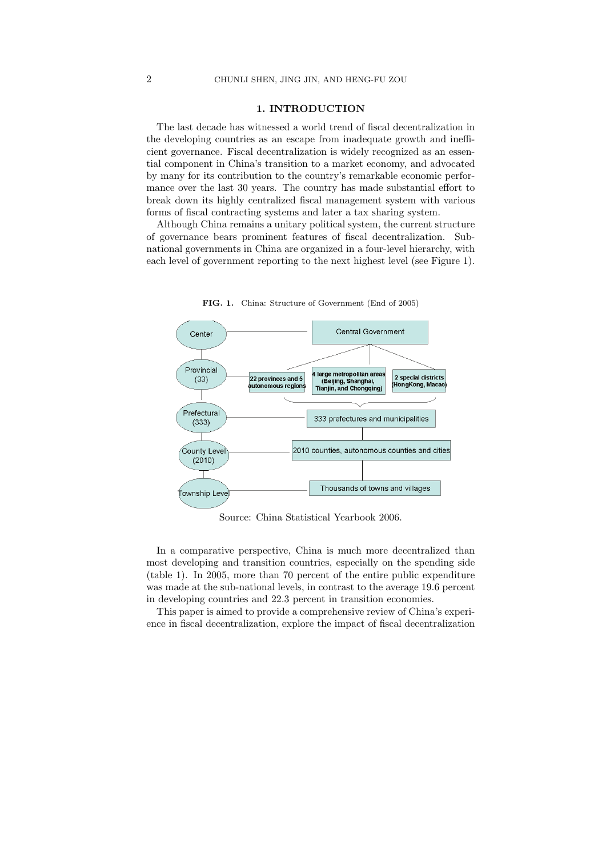# **1. INTRODUCTION**

The last decade has witnessed a world trend of fiscal decentralization in the developing countries as an escape from inadequate growth and inefficient governance. Fiscal decentralization is widely recognized as an essential component in China's transition to a market economy, and advocated by many for its contribution to the country's remarkable economic performance over the last 30 years. The country has made substantial effort to break down its highly centralized fiscal management system with various forms of fiscal contracting systems and later a tax sharing system.

Although China remains a unitary political system, the current structure of governance bears prominent features of fiscal decentralization. Subnational governments in China are organized in a four-level hierarchy, with each level of government reporting to the next highest level (see Figure 1).



**FIG. 1.** China: Structure of Government (End of 2005)

Source: China Statistical Yearbook 2006.

In a comparative perspective, China is much more decentralized than most developing and transition countries, especially on the spending side (table 1). In 2005, more than 70 percent of the entire public expenditure was made at the sub-national levels, in contrast to the average 19.6 percent in developing countries and 22.3 percent in transition economies.

This paper is aimed to provide a comprehensive review of China's experience in fiscal decentralization, explore the impact of fiscal decentralization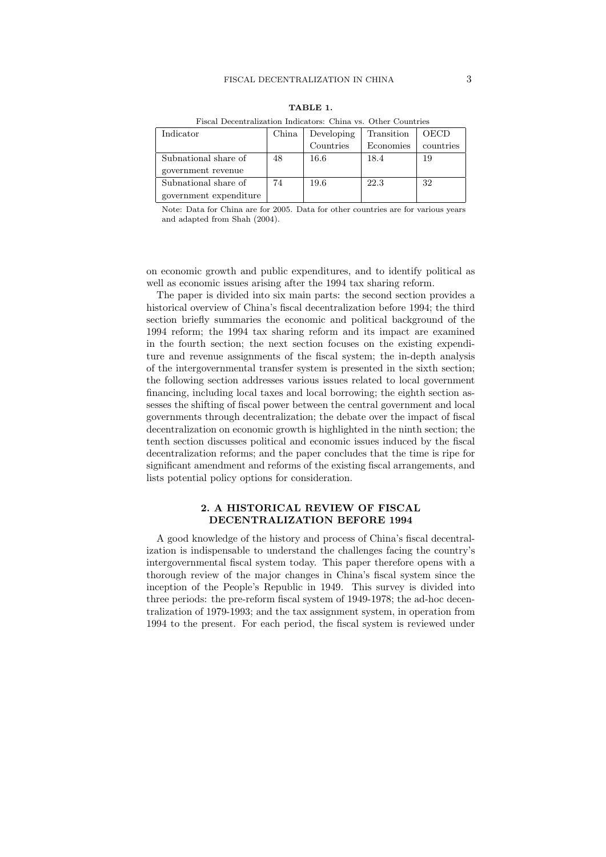| Indicator              | China | Developing | Transition | OECD      |
|------------------------|-------|------------|------------|-----------|
|                        |       | Countries  | Economies  | countries |
| Subnational share of   | 48    | 16.6       | 18.4       | 19        |
| government revenue     |       |            |            |           |
| Subnational share of   | 74    | 19.6       | 22.3       | 32        |
| government expenditure |       |            |            |           |

**TABLE 1.**

Fiscal Decentralization Indicators: China vs. Other Countries

Note: Data for China are for 2005. Data for other countries are for various years and adapted from Shah (2004).

on economic growth and public expenditures, and to identify political as well as economic issues arising after the 1994 tax sharing reform.

The paper is divided into six main parts: the second section provides a historical overview of China's fiscal decentralization before 1994; the third section briefly summaries the economic and political background of the 1994 reform; the 1994 tax sharing reform and its impact are examined in the fourth section; the next section focuses on the existing expenditure and revenue assignments of the fiscal system; the in-depth analysis of the intergovernmental transfer system is presented in the sixth section; the following section addresses various issues related to local government financing, including local taxes and local borrowing; the eighth section assesses the shifting of fiscal power between the central government and local governments through decentralization; the debate over the impact of fiscal decentralization on economic growth is highlighted in the ninth section; the tenth section discusses political and economic issues induced by the fiscal decentralization reforms; and the paper concludes that the time is ripe for significant amendment and reforms of the existing fiscal arrangements, and lists potential policy options for consideration.

## **2. A HISTORICAL REVIEW OF FISCAL DECENTRALIZATION BEFORE 1994**

A good knowledge of the history and process of China's fiscal decentralization is indispensable to understand the challenges facing the country's intergovernmental fiscal system today. This paper therefore opens with a thorough review of the major changes in China's fiscal system since the inception of the People's Republic in 1949. This survey is divided into three periods: the pre-reform fiscal system of 1949-1978; the ad-hoc decentralization of 1979-1993; and the tax assignment system, in operation from 1994 to the present. For each period, the fiscal system is reviewed under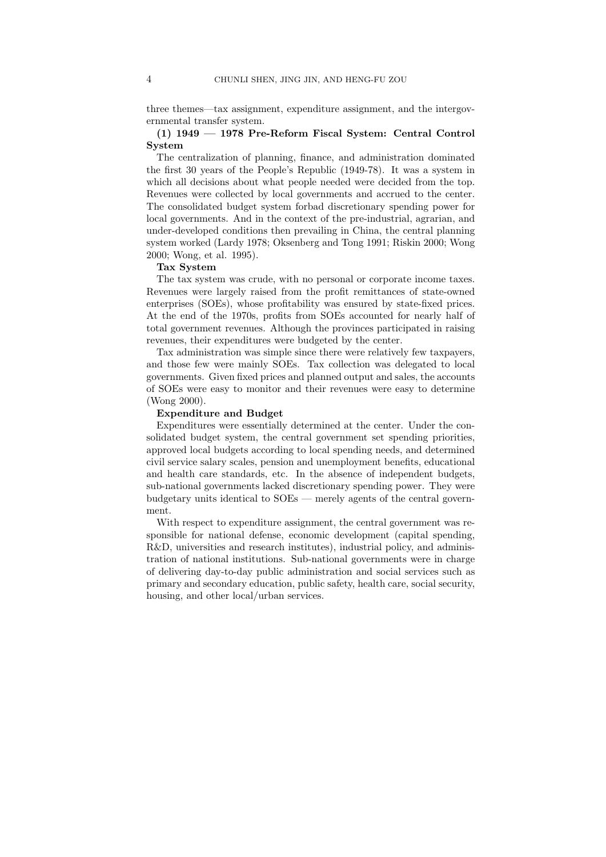three themes—tax assignment, expenditure assignment, and the intergovernmental transfer system.

# **(1) 1949 — 1978 Pre-Reform Fiscal System: Central Control System**

The centralization of planning, finance, and administration dominated the first 30 years of the People's Republic (1949-78). It was a system in which all decisions about what people needed were decided from the top. Revenues were collected by local governments and accrued to the center. The consolidated budget system forbad discretionary spending power for local governments. And in the context of the pre-industrial, agrarian, and under-developed conditions then prevailing in China, the central planning system worked (Lardy 1978; Oksenberg and Tong 1991; Riskin 2000; Wong 2000; Wong, et al. 1995).

#### **Tax System**

The tax system was crude, with no personal or corporate income taxes. Revenues were largely raised from the profit remittances of state-owned enterprises (SOEs), whose profitability was ensured by state-fixed prices. At the end of the 1970s, profits from SOEs accounted for nearly half of total government revenues. Although the provinces participated in raising revenues, their expenditures were budgeted by the center.

Tax administration was simple since there were relatively few taxpayers, and those few were mainly SOEs. Tax collection was delegated to local governments. Given fixed prices and planned output and sales, the accounts of SOEs were easy to monitor and their revenues were easy to determine (Wong 2000).

#### **Expenditure and Budget**

Expenditures were essentially determined at the center. Under the consolidated budget system, the central government set spending priorities, approved local budgets according to local spending needs, and determined civil service salary scales, pension and unemployment benefits, educational and health care standards, etc. In the absence of independent budgets, sub-national governments lacked discretionary spending power. They were budgetary units identical to SOEs — merely agents of the central government.

With respect to expenditure assignment, the central government was responsible for national defense, economic development (capital spending, R&D, universities and research institutes), industrial policy, and administration of national institutions. Sub-national governments were in charge of delivering day-to-day public administration and social services such as primary and secondary education, public safety, health care, social security, housing, and other local/urban services.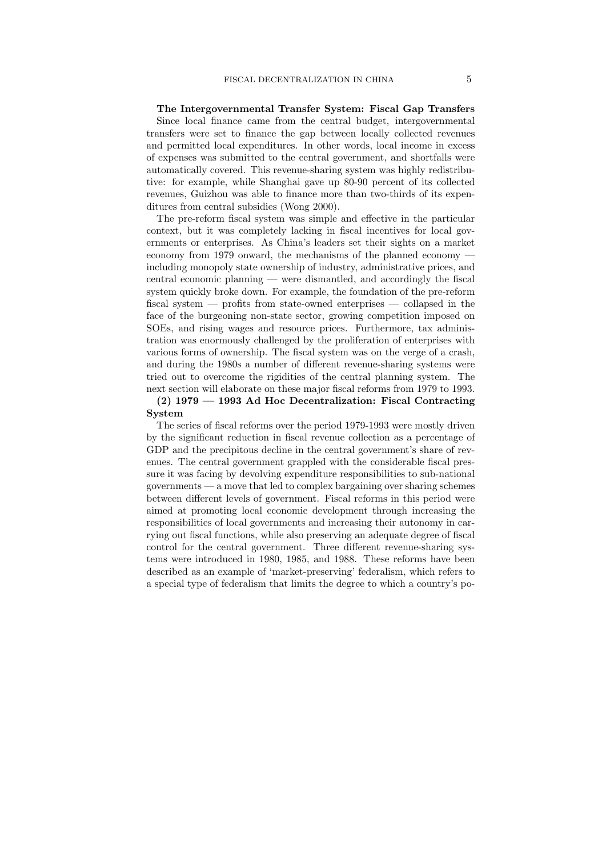**The Intergovernmental Transfer System: Fiscal Gap Transfers** Since local finance came from the central budget, intergovernmental transfers were set to finance the gap between locally collected revenues and permitted local expenditures. In other words, local income in excess of expenses was submitted to the central government, and shortfalls were automatically covered. This revenue-sharing system was highly redistributive: for example, while Shanghai gave up 80-90 percent of its collected revenues, Guizhou was able to finance more than two-thirds of its expenditures from central subsidies (Wong 2000).

The pre-reform fiscal system was simple and effective in the particular context, but it was completely lacking in fiscal incentives for local governments or enterprises. As China's leaders set their sights on a market economy from 1979 onward, the mechanisms of the planned economy including monopoly state ownership of industry, administrative prices, and central economic planning — were dismantled, and accordingly the fiscal system quickly broke down. For example, the foundation of the pre-reform fiscal system — profits from state-owned enterprises — collapsed in the face of the burgeoning non-state sector, growing competition imposed on SOEs, and rising wages and resource prices. Furthermore, tax administration was enormously challenged by the proliferation of enterprises with various forms of ownership. The fiscal system was on the verge of a crash, and during the 1980s a number of different revenue-sharing systems were tried out to overcome the rigidities of the central planning system. The next section will elaborate on these major fiscal reforms from 1979 to 1993.

# **(2) 1979 — 1993 Ad Hoc Decentralization: Fiscal Contracting System**

The series of fiscal reforms over the period 1979-1993 were mostly driven by the significant reduction in fiscal revenue collection as a percentage of GDP and the precipitous decline in the central government's share of revenues. The central government grappled with the considerable fiscal pressure it was facing by devolving expenditure responsibilities to sub-national governments — a move that led to complex bargaining over sharing schemes between different levels of government. Fiscal reforms in this period were aimed at promoting local economic development through increasing the responsibilities of local governments and increasing their autonomy in carrying out fiscal functions, while also preserving an adequate degree of fiscal control for the central government. Three different revenue-sharing systems were introduced in 1980, 1985, and 1988. These reforms have been described as an example of 'market-preserving' federalism, which refers to a special type of federalism that limits the degree to which a country's po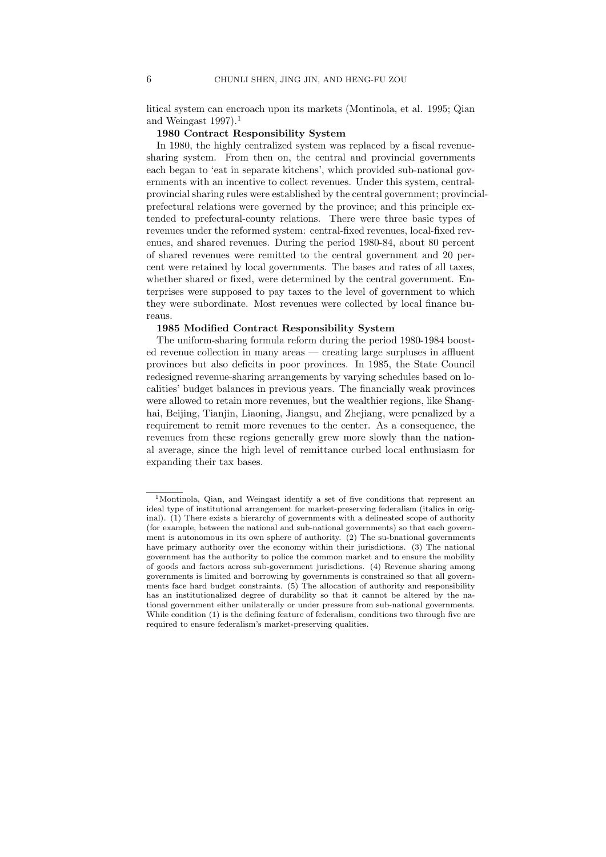litical system can encroach upon its markets (Montinola, et al. 1995; Qian and Weingast  $1997$ ).<sup>1</sup>

## **1980 Contract Responsibility System**

In 1980, the highly centralized system was replaced by a fiscal revenuesharing system. From then on, the central and provincial governments each began to 'eat in separate kitchens', which provided sub-national governments with an incentive to collect revenues. Under this system, centralprovincial sharing rules were established by the central government; provincialprefectural relations were governed by the province; and this principle extended to prefectural-county relations. There were three basic types of revenues under the reformed system: central-fixed revenues, local-fixed revenues, and shared revenues. During the period 1980-84, about 80 percent of shared revenues were remitted to the central government and 20 percent were retained by local governments. The bases and rates of all taxes, whether shared or fixed, were determined by the central government. Enterprises were supposed to pay taxes to the level of government to which they were subordinate. Most revenues were collected by local finance bureaus.

## **1985 Modified Contract Responsibility System**

The uniform-sharing formula reform during the period 1980-1984 boosted revenue collection in many areas — creating large surpluses in affluent provinces but also deficits in poor provinces. In 1985, the State Council redesigned revenue-sharing arrangements by varying schedules based on localities' budget balances in previous years. The financially weak provinces were allowed to retain more revenues, but the wealthier regions, like Shanghai, Beijing, Tianjin, Liaoning, Jiangsu, and Zhejiang, were penalized by a requirement to remit more revenues to the center. As a consequence, the revenues from these regions generally grew more slowly than the national average, since the high level of remittance curbed local enthusiasm for expanding their tax bases.

<sup>1</sup>Montinola, Qian, and Weingast identify a set of five conditions that represent an ideal type of institutional arrangement for market-preserving federalism (italics in original). (1) There exists a hierarchy of governments with a delineated scope of authority (for example, between the national and sub-national governments) so that each government is autonomous in its own sphere of authority. (2) The su-bnational governments have primary authority over the economy within their jurisdictions. (3) The national government has the authority to police the common market and to ensure the mobility of goods and factors across sub-government jurisdictions. (4) Revenue sharing among governments is limited and borrowing by governments is constrained so that all governments face hard budget constraints. (5) The allocation of authority and responsibility has an institutionalized degree of durability so that it cannot be altered by the national government either unilaterally or under pressure from sub-national governments. While condition (1) is the defining feature of federalism, conditions two through five are required to ensure federalism's market-preserving qualities.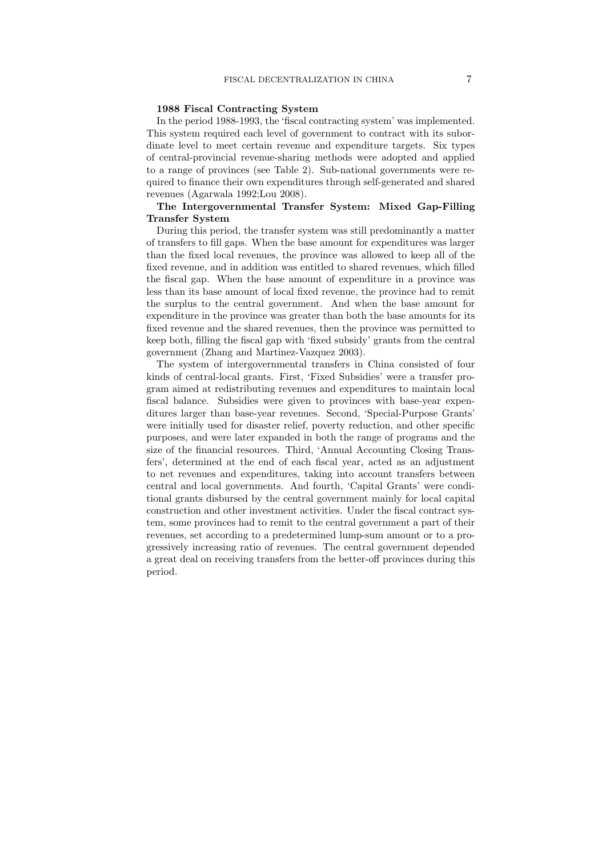# **1988 Fiscal Contracting System**

In the period 1988-1993, the 'fiscal contracting system' was implemented. This system required each level of government to contract with its subordinate level to meet certain revenue and expenditure targets. Six types of central-provincial revenue-sharing methods were adopted and applied to a range of provinces (see Table 2). Sub-national governments were required to finance their own expenditures through self-generated and shared revenues (Agarwala 1992;Lou 2008).

# **The Intergovernmental Transfer System: Mixed Gap-Filling Transfer System**

During this period, the transfer system was still predominantly a matter of transfers to fill gaps. When the base amount for expenditures was larger than the fixed local revenues, the province was allowed to keep all of the fixed revenue, and in addition was entitled to shared revenues, which filled the fiscal gap. When the base amount of expenditure in a province was less than its base amount of local fixed revenue, the province had to remit the surplus to the central government. And when the base amount for expenditure in the province was greater than both the base amounts for its fixed revenue and the shared revenues, then the province was permitted to keep both, filling the fiscal gap with 'fixed subsidy' grants from the central government (Zhang and Martinez-Vazquez 2003).

The system of intergovernmental transfers in China consisted of four kinds of central-local grants. First, 'Fixed Subsidies' were a transfer program aimed at redistributing revenues and expenditures to maintain local fiscal balance. Subsidies were given to provinces with base-year expenditures larger than base-year revenues. Second, 'Special-Purpose Grants' were initially used for disaster relief, poverty reduction, and other specific purposes, and were later expanded in both the range of programs and the size of the financial resources. Third, 'Annual Accounting Closing Transfers', determined at the end of each fiscal year, acted as an adjustment to net revenues and expenditures, taking into account transfers between central and local governments. And fourth, 'Capital Grants' were conditional grants disbursed by the central government mainly for local capital construction and other investment activities. Under the fiscal contract system, some provinces had to remit to the central government a part of their revenues, set according to a predetermined lump-sum amount or to a progressively increasing ratio of revenues. The central government depended a great deal on receiving transfers from the better-off provinces during this period.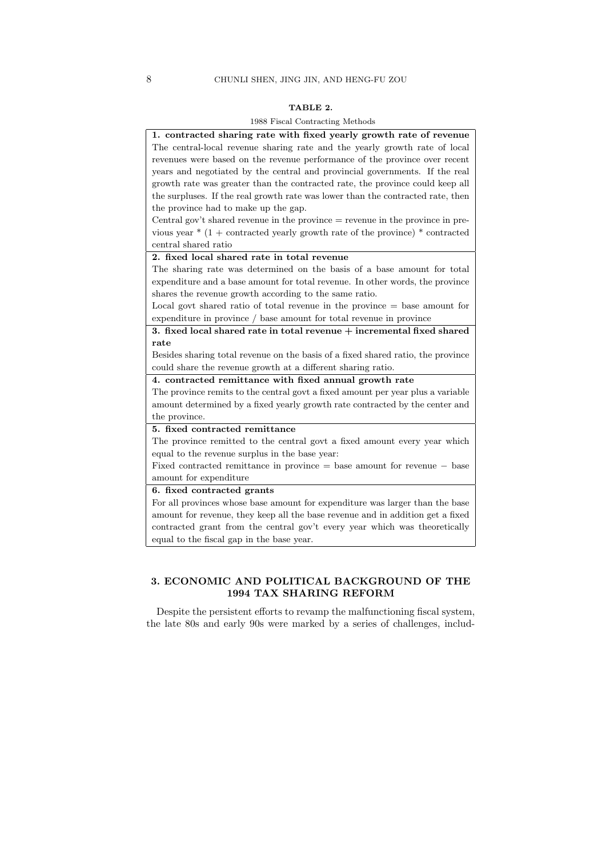## **TABLE 2.**

# 1988 Fiscal Contracting Methods

| The central-local revenue sharing rate and the yearly growth rate of local<br>revenues were based on the revenue performance of the province over recent<br>years and negotiated by the central and provincial governments. If the real<br>growth rate was greater than the contracted rate, the province could keep all<br>the surpluses. If the real growth rate was lower than the contracted rate, then<br>the province had to make up the gap.<br>Central gov't shared revenue in the province $=$ revenue in the province in pre-<br>vious year $*(1 + \text{contracted yearly growth rate of the province}) * \text{contracted}$<br>central shared ratio<br>2. fixed local shared rate in total revenue<br>The sharing rate was determined on the basis of a base amount for total<br>expenditure and a base amount for total revenue. In other words, the province<br>shares the revenue growth according to the same ratio.<br>Local govt shared ratio of total revenue in the province $=$ base amount for<br>expenditure in province / base amount for total revenue in province<br>3. fixed local shared rate in total revenue + incremental fixed shared<br>$_{\rm rate}$<br>Besides sharing total revenue on the basis of a fixed shared ratio, the province<br>could share the revenue growth at a different sharing ratio.<br>4. contracted remittance with fixed annual growth rate<br>The province remits to the central govt a fixed amount per year plus a variable<br>amount determined by a fixed yearly growth rate contracted by the center and<br>the province.<br>5. fixed contracted remittance<br>The province remitted to the central govt a fixed amount every year which<br>equal to the revenue surplus in the base year:<br>Fixed contracted remittance in province $=$ base amount for revenue $-$ base<br>amount for expenditure<br>6. fixed contracted grants<br>For all provinces whose base amount for expenditure was larger than the base<br>amount for revenue, they keep all the base revenue and in addition get a fixed<br>contracted grant from the central gov't every year which was theoretically<br>equal to the fiscal gap in the base year. | 1. contracted sharing rate with fixed yearly growth rate of revenue |
|------------------------------------------------------------------------------------------------------------------------------------------------------------------------------------------------------------------------------------------------------------------------------------------------------------------------------------------------------------------------------------------------------------------------------------------------------------------------------------------------------------------------------------------------------------------------------------------------------------------------------------------------------------------------------------------------------------------------------------------------------------------------------------------------------------------------------------------------------------------------------------------------------------------------------------------------------------------------------------------------------------------------------------------------------------------------------------------------------------------------------------------------------------------------------------------------------------------------------------------------------------------------------------------------------------------------------------------------------------------------------------------------------------------------------------------------------------------------------------------------------------------------------------------------------------------------------------------------------------------------------------------------------------------------------------------------------------------------------------------------------------------------------------------------------------------------------------------------------------------------------------------------------------------------------------------------------------------------------------------------------------------------------------------------------------------------------------------------------------------------------------------------------------------------------------------------|---------------------------------------------------------------------|
|                                                                                                                                                                                                                                                                                                                                                                                                                                                                                                                                                                                                                                                                                                                                                                                                                                                                                                                                                                                                                                                                                                                                                                                                                                                                                                                                                                                                                                                                                                                                                                                                                                                                                                                                                                                                                                                                                                                                                                                                                                                                                                                                                                                                |                                                                     |
|                                                                                                                                                                                                                                                                                                                                                                                                                                                                                                                                                                                                                                                                                                                                                                                                                                                                                                                                                                                                                                                                                                                                                                                                                                                                                                                                                                                                                                                                                                                                                                                                                                                                                                                                                                                                                                                                                                                                                                                                                                                                                                                                                                                                |                                                                     |
|                                                                                                                                                                                                                                                                                                                                                                                                                                                                                                                                                                                                                                                                                                                                                                                                                                                                                                                                                                                                                                                                                                                                                                                                                                                                                                                                                                                                                                                                                                                                                                                                                                                                                                                                                                                                                                                                                                                                                                                                                                                                                                                                                                                                |                                                                     |
|                                                                                                                                                                                                                                                                                                                                                                                                                                                                                                                                                                                                                                                                                                                                                                                                                                                                                                                                                                                                                                                                                                                                                                                                                                                                                                                                                                                                                                                                                                                                                                                                                                                                                                                                                                                                                                                                                                                                                                                                                                                                                                                                                                                                |                                                                     |
|                                                                                                                                                                                                                                                                                                                                                                                                                                                                                                                                                                                                                                                                                                                                                                                                                                                                                                                                                                                                                                                                                                                                                                                                                                                                                                                                                                                                                                                                                                                                                                                                                                                                                                                                                                                                                                                                                                                                                                                                                                                                                                                                                                                                |                                                                     |
|                                                                                                                                                                                                                                                                                                                                                                                                                                                                                                                                                                                                                                                                                                                                                                                                                                                                                                                                                                                                                                                                                                                                                                                                                                                                                                                                                                                                                                                                                                                                                                                                                                                                                                                                                                                                                                                                                                                                                                                                                                                                                                                                                                                                |                                                                     |
|                                                                                                                                                                                                                                                                                                                                                                                                                                                                                                                                                                                                                                                                                                                                                                                                                                                                                                                                                                                                                                                                                                                                                                                                                                                                                                                                                                                                                                                                                                                                                                                                                                                                                                                                                                                                                                                                                                                                                                                                                                                                                                                                                                                                |                                                                     |
|                                                                                                                                                                                                                                                                                                                                                                                                                                                                                                                                                                                                                                                                                                                                                                                                                                                                                                                                                                                                                                                                                                                                                                                                                                                                                                                                                                                                                                                                                                                                                                                                                                                                                                                                                                                                                                                                                                                                                                                                                                                                                                                                                                                                |                                                                     |
|                                                                                                                                                                                                                                                                                                                                                                                                                                                                                                                                                                                                                                                                                                                                                                                                                                                                                                                                                                                                                                                                                                                                                                                                                                                                                                                                                                                                                                                                                                                                                                                                                                                                                                                                                                                                                                                                                                                                                                                                                                                                                                                                                                                                |                                                                     |
|                                                                                                                                                                                                                                                                                                                                                                                                                                                                                                                                                                                                                                                                                                                                                                                                                                                                                                                                                                                                                                                                                                                                                                                                                                                                                                                                                                                                                                                                                                                                                                                                                                                                                                                                                                                                                                                                                                                                                                                                                                                                                                                                                                                                |                                                                     |
|                                                                                                                                                                                                                                                                                                                                                                                                                                                                                                                                                                                                                                                                                                                                                                                                                                                                                                                                                                                                                                                                                                                                                                                                                                                                                                                                                                                                                                                                                                                                                                                                                                                                                                                                                                                                                                                                                                                                                                                                                                                                                                                                                                                                |                                                                     |
|                                                                                                                                                                                                                                                                                                                                                                                                                                                                                                                                                                                                                                                                                                                                                                                                                                                                                                                                                                                                                                                                                                                                                                                                                                                                                                                                                                                                                                                                                                                                                                                                                                                                                                                                                                                                                                                                                                                                                                                                                                                                                                                                                                                                |                                                                     |
|                                                                                                                                                                                                                                                                                                                                                                                                                                                                                                                                                                                                                                                                                                                                                                                                                                                                                                                                                                                                                                                                                                                                                                                                                                                                                                                                                                                                                                                                                                                                                                                                                                                                                                                                                                                                                                                                                                                                                                                                                                                                                                                                                                                                |                                                                     |
|                                                                                                                                                                                                                                                                                                                                                                                                                                                                                                                                                                                                                                                                                                                                                                                                                                                                                                                                                                                                                                                                                                                                                                                                                                                                                                                                                                                                                                                                                                                                                                                                                                                                                                                                                                                                                                                                                                                                                                                                                                                                                                                                                                                                |                                                                     |
|                                                                                                                                                                                                                                                                                                                                                                                                                                                                                                                                                                                                                                                                                                                                                                                                                                                                                                                                                                                                                                                                                                                                                                                                                                                                                                                                                                                                                                                                                                                                                                                                                                                                                                                                                                                                                                                                                                                                                                                                                                                                                                                                                                                                |                                                                     |
|                                                                                                                                                                                                                                                                                                                                                                                                                                                                                                                                                                                                                                                                                                                                                                                                                                                                                                                                                                                                                                                                                                                                                                                                                                                                                                                                                                                                                                                                                                                                                                                                                                                                                                                                                                                                                                                                                                                                                                                                                                                                                                                                                                                                |                                                                     |
|                                                                                                                                                                                                                                                                                                                                                                                                                                                                                                                                                                                                                                                                                                                                                                                                                                                                                                                                                                                                                                                                                                                                                                                                                                                                                                                                                                                                                                                                                                                                                                                                                                                                                                                                                                                                                                                                                                                                                                                                                                                                                                                                                                                                |                                                                     |
|                                                                                                                                                                                                                                                                                                                                                                                                                                                                                                                                                                                                                                                                                                                                                                                                                                                                                                                                                                                                                                                                                                                                                                                                                                                                                                                                                                                                                                                                                                                                                                                                                                                                                                                                                                                                                                                                                                                                                                                                                                                                                                                                                                                                |                                                                     |
|                                                                                                                                                                                                                                                                                                                                                                                                                                                                                                                                                                                                                                                                                                                                                                                                                                                                                                                                                                                                                                                                                                                                                                                                                                                                                                                                                                                                                                                                                                                                                                                                                                                                                                                                                                                                                                                                                                                                                                                                                                                                                                                                                                                                |                                                                     |
|                                                                                                                                                                                                                                                                                                                                                                                                                                                                                                                                                                                                                                                                                                                                                                                                                                                                                                                                                                                                                                                                                                                                                                                                                                                                                                                                                                                                                                                                                                                                                                                                                                                                                                                                                                                                                                                                                                                                                                                                                                                                                                                                                                                                |                                                                     |
|                                                                                                                                                                                                                                                                                                                                                                                                                                                                                                                                                                                                                                                                                                                                                                                                                                                                                                                                                                                                                                                                                                                                                                                                                                                                                                                                                                                                                                                                                                                                                                                                                                                                                                                                                                                                                                                                                                                                                                                                                                                                                                                                                                                                |                                                                     |
|                                                                                                                                                                                                                                                                                                                                                                                                                                                                                                                                                                                                                                                                                                                                                                                                                                                                                                                                                                                                                                                                                                                                                                                                                                                                                                                                                                                                                                                                                                                                                                                                                                                                                                                                                                                                                                                                                                                                                                                                                                                                                                                                                                                                |                                                                     |
|                                                                                                                                                                                                                                                                                                                                                                                                                                                                                                                                                                                                                                                                                                                                                                                                                                                                                                                                                                                                                                                                                                                                                                                                                                                                                                                                                                                                                                                                                                                                                                                                                                                                                                                                                                                                                                                                                                                                                                                                                                                                                                                                                                                                |                                                                     |
|                                                                                                                                                                                                                                                                                                                                                                                                                                                                                                                                                                                                                                                                                                                                                                                                                                                                                                                                                                                                                                                                                                                                                                                                                                                                                                                                                                                                                                                                                                                                                                                                                                                                                                                                                                                                                                                                                                                                                                                                                                                                                                                                                                                                |                                                                     |
|                                                                                                                                                                                                                                                                                                                                                                                                                                                                                                                                                                                                                                                                                                                                                                                                                                                                                                                                                                                                                                                                                                                                                                                                                                                                                                                                                                                                                                                                                                                                                                                                                                                                                                                                                                                                                                                                                                                                                                                                                                                                                                                                                                                                |                                                                     |
|                                                                                                                                                                                                                                                                                                                                                                                                                                                                                                                                                                                                                                                                                                                                                                                                                                                                                                                                                                                                                                                                                                                                                                                                                                                                                                                                                                                                                                                                                                                                                                                                                                                                                                                                                                                                                                                                                                                                                                                                                                                                                                                                                                                                |                                                                     |
|                                                                                                                                                                                                                                                                                                                                                                                                                                                                                                                                                                                                                                                                                                                                                                                                                                                                                                                                                                                                                                                                                                                                                                                                                                                                                                                                                                                                                                                                                                                                                                                                                                                                                                                                                                                                                                                                                                                                                                                                                                                                                                                                                                                                |                                                                     |
|                                                                                                                                                                                                                                                                                                                                                                                                                                                                                                                                                                                                                                                                                                                                                                                                                                                                                                                                                                                                                                                                                                                                                                                                                                                                                                                                                                                                                                                                                                                                                                                                                                                                                                                                                                                                                                                                                                                                                                                                                                                                                                                                                                                                |                                                                     |
|                                                                                                                                                                                                                                                                                                                                                                                                                                                                                                                                                                                                                                                                                                                                                                                                                                                                                                                                                                                                                                                                                                                                                                                                                                                                                                                                                                                                                                                                                                                                                                                                                                                                                                                                                                                                                                                                                                                                                                                                                                                                                                                                                                                                |                                                                     |
|                                                                                                                                                                                                                                                                                                                                                                                                                                                                                                                                                                                                                                                                                                                                                                                                                                                                                                                                                                                                                                                                                                                                                                                                                                                                                                                                                                                                                                                                                                                                                                                                                                                                                                                                                                                                                                                                                                                                                                                                                                                                                                                                                                                                |                                                                     |
|                                                                                                                                                                                                                                                                                                                                                                                                                                                                                                                                                                                                                                                                                                                                                                                                                                                                                                                                                                                                                                                                                                                                                                                                                                                                                                                                                                                                                                                                                                                                                                                                                                                                                                                                                                                                                                                                                                                                                                                                                                                                                                                                                                                                |                                                                     |
|                                                                                                                                                                                                                                                                                                                                                                                                                                                                                                                                                                                                                                                                                                                                                                                                                                                                                                                                                                                                                                                                                                                                                                                                                                                                                                                                                                                                                                                                                                                                                                                                                                                                                                                                                                                                                                                                                                                                                                                                                                                                                                                                                                                                |                                                                     |
|                                                                                                                                                                                                                                                                                                                                                                                                                                                                                                                                                                                                                                                                                                                                                                                                                                                                                                                                                                                                                                                                                                                                                                                                                                                                                                                                                                                                                                                                                                                                                                                                                                                                                                                                                                                                                                                                                                                                                                                                                                                                                                                                                                                                |                                                                     |

# **3. ECONOMIC AND POLITICAL BACKGROUND OF THE 1994 TAX SHARING REFORM**

Despite the persistent efforts to revamp the malfunctioning fiscal system, the late 80s and early 90s were marked by a series of challenges, includ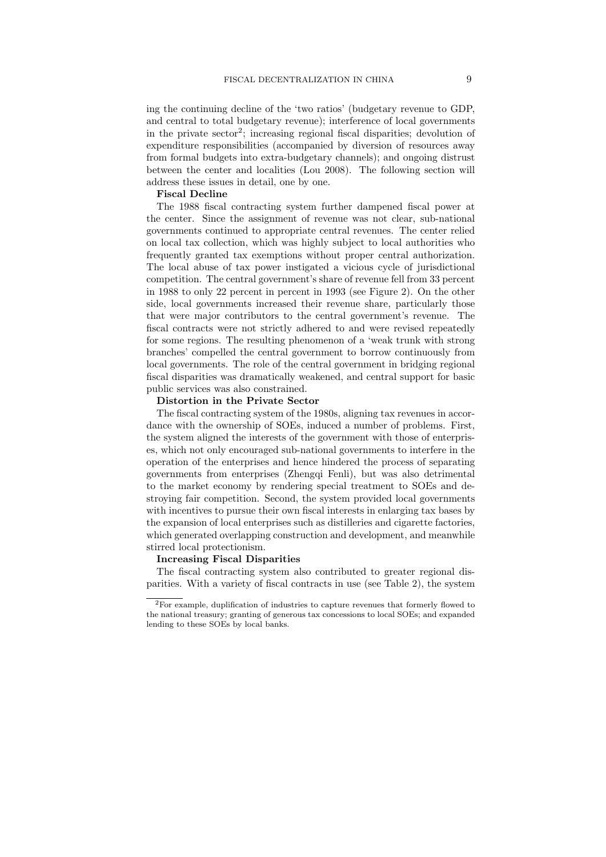ing the continuing decline of the 'two ratios' (budgetary revenue to GDP, and central to total budgetary revenue); interference of local governments in the private sector<sup>2</sup>; increasing regional fiscal disparities; devolution of expenditure responsibilities (accompanied by diversion of resources away from formal budgets into extra-budgetary channels); and ongoing distrust between the center and localities (Lou 2008). The following section will address these issues in detail, one by one.

# **Fiscal Decline**

The 1988 fiscal contracting system further dampened fiscal power at the center. Since the assignment of revenue was not clear, sub-national governments continued to appropriate central revenues. The center relied on local tax collection, which was highly subject to local authorities who frequently granted tax exemptions without proper central authorization. The local abuse of tax power instigated a vicious cycle of jurisdictional competition. The central government's share of revenue fell from 33 percent in 1988 to only 22 percent in percent in 1993 (see Figure 2). On the other side, local governments increased their revenue share, particularly those that were major contributors to the central government's revenue. The fiscal contracts were not strictly adhered to and were revised repeatedly for some regions. The resulting phenomenon of a 'weak trunk with strong branches' compelled the central government to borrow continuously from local governments. The role of the central government in bridging regional fiscal disparities was dramatically weakened, and central support for basic public services was also constrained.

#### **Distortion in the Private Sector**

The fiscal contracting system of the 1980s, aligning tax revenues in accordance with the ownership of SOEs, induced a number of problems. First, the system aligned the interests of the government with those of enterprises, which not only encouraged sub-national governments to interfere in the operation of the enterprises and hence hindered the process of separating governments from enterprises (Zhengqi Fenli), but was also detrimental to the market economy by rendering special treatment to SOEs and destroying fair competition. Second, the system provided local governments with incentives to pursue their own fiscal interests in enlarging tax bases by the expansion of local enterprises such as distilleries and cigarette factories, which generated overlapping construction and development, and meanwhile stirred local protectionism.

#### **Increasing Fiscal Disparities**

The fiscal contracting system also contributed to greater regional disparities. With a variety of fiscal contracts in use (see Table 2), the system

<sup>2</sup>For example, duplification of industries to capture revenues that formerly flowed to the national treasury; granting of generous tax concessions to local SOEs; and expanded lending to these SOEs by local banks.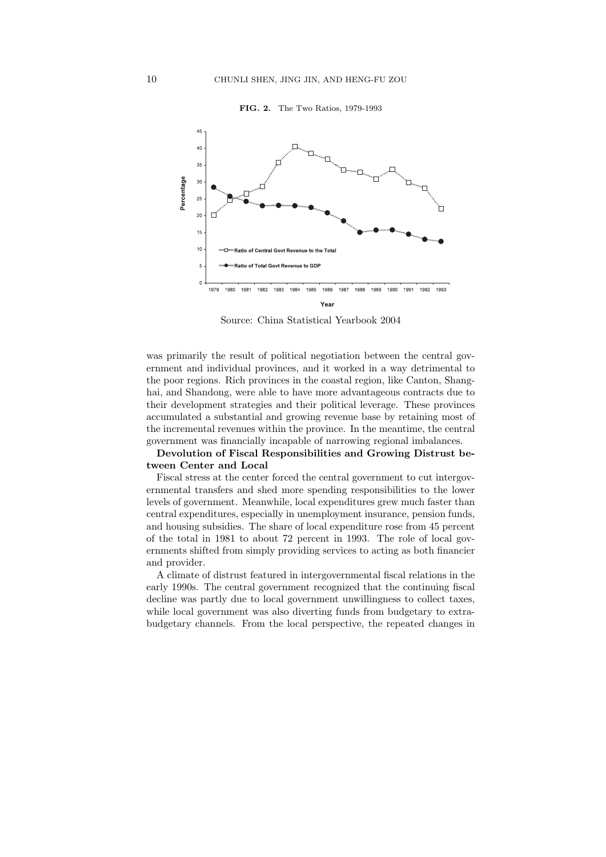**FIG. 2.** The Two Ratios, 1979-1993



Source: China Statistical Yearbook 2004

was primarily the result of political negotiation between the central government and individual provinces, and it worked in a way detrimental to the poor regions. Rich provinces in the coastal region, like Canton, Shanghai, and Shandong, were able to have more advantageous contracts due to their development strategies and their political leverage. These provinces accumulated a substantial and growing revenue base by retaining most of the incremental revenues within the province. In the meantime, the central government was financially incapable of narrowing regional imbalances.

## **Devolution of Fiscal Responsibilities and Growing Distrust between Center and Local**

Fiscal stress at the center forced the central government to cut intergovernmental transfers and shed more spending responsibilities to the lower levels of government. Meanwhile, local expenditures grew much faster than central expenditures, especially in unemployment insurance, pension funds, and housing subsidies. The share of local expenditure rose from 45 percent of the total in 1981 to about 72 percent in 1993. The role of local governments shifted from simply providing services to acting as both financier and provider.

A climate of distrust featured in intergovernmental fiscal relations in the early 1990s. The central government recognized that the continuing fiscal decline was partly due to local government unwillingness to collect taxes, while local government was also diverting funds from budgetary to extrabudgetary channels. From the local perspective, the repeated changes in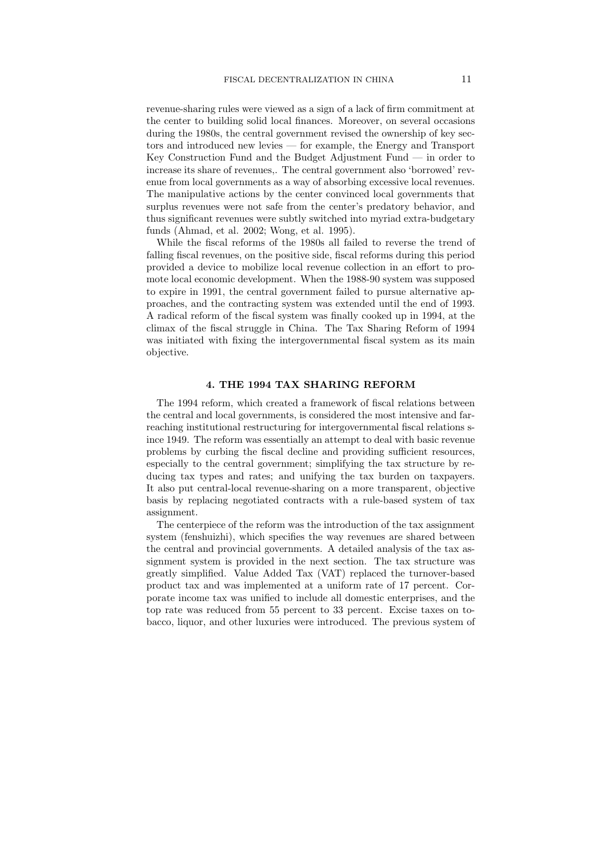revenue-sharing rules were viewed as a sign of a lack of firm commitment at the center to building solid local finances. Moreover, on several occasions during the 1980s, the central government revised the ownership of key sectors and introduced new levies — for example, the Energy and Transport Key Construction Fund and the Budget Adjustment Fund  $-$  in order to increase its share of revenues,. The central government also 'borrowed' revenue from local governments as a way of absorbing excessive local revenues. The manipulative actions by the center convinced local governments that surplus revenues were not safe from the center's predatory behavior, and thus significant revenues were subtly switched into myriad extra-budgetary funds (Ahmad, et al. 2002; Wong, et al. 1995).

While the fiscal reforms of the 1980s all failed to reverse the trend of falling fiscal revenues, on the positive side, fiscal reforms during this period provided a device to mobilize local revenue collection in an effort to promote local economic development. When the 1988-90 system was supposed to expire in 1991, the central government failed to pursue alternative approaches, and the contracting system was extended until the end of 1993. A radical reform of the fiscal system was finally cooked up in 1994, at the climax of the fiscal struggle in China. The Tax Sharing Reform of 1994 was initiated with fixing the intergovernmental fiscal system as its main objective.

## **4. THE 1994 TAX SHARING REFORM**

The 1994 reform, which created a framework of fiscal relations between the central and local governments, is considered the most intensive and farreaching institutional restructuring for intergovernmental fiscal relations since 1949. The reform was essentially an attempt to deal with basic revenue problems by curbing the fiscal decline and providing sufficient resources, especially to the central government; simplifying the tax structure by reducing tax types and rates; and unifying the tax burden on taxpayers. It also put central-local revenue-sharing on a more transparent, objective basis by replacing negotiated contracts with a rule-based system of tax assignment.

The centerpiece of the reform was the introduction of the tax assignment system (fenshuizhi), which specifies the way revenues are shared between the central and provincial governments. A detailed analysis of the tax assignment system is provided in the next section. The tax structure was greatly simplified. Value Added Tax (VAT) replaced the turnover-based product tax and was implemented at a uniform rate of 17 percent. Corporate income tax was unified to include all domestic enterprises, and the top rate was reduced from 55 percent to 33 percent. Excise taxes on tobacco, liquor, and other luxuries were introduced. The previous system of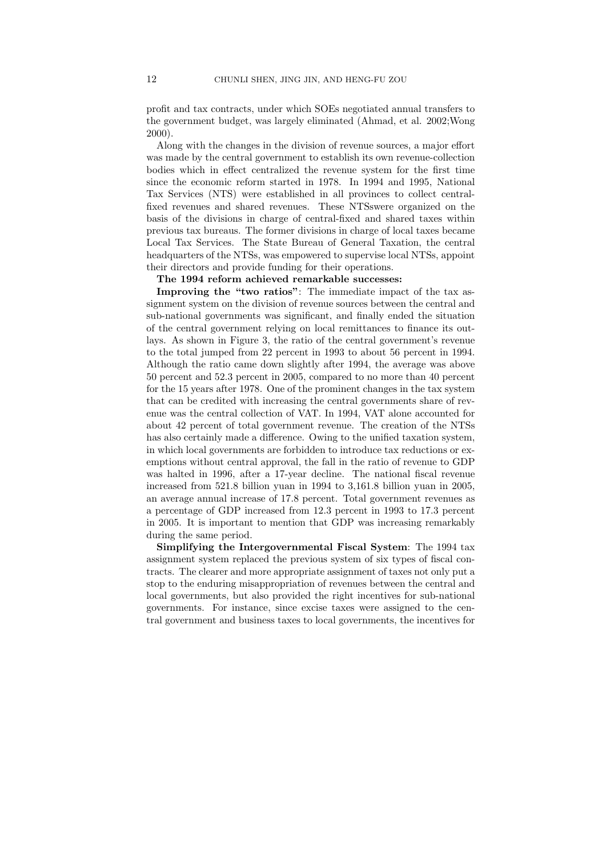profit and tax contracts, under which SOEs negotiated annual transfers to the government budget, was largely eliminated (Ahmad, et al. 2002;Wong 2000).

Along with the changes in the division of revenue sources, a major effort was made by the central government to establish its own revenue-collection bodies which in effect centralized the revenue system for the first time since the economic reform started in 1978. In 1994 and 1995, National Tax Services (NTS) were established in all provinces to collect centralfixed revenues and shared revenues. These NTSswere organized on the basis of the divisions in charge of central-fixed and shared taxes within previous tax bureaus. The former divisions in charge of local taxes became Local Tax Services. The State Bureau of General Taxation, the central headquarters of the NTSs, was empowered to supervise local NTSs, appoint their directors and provide funding for their operations.

**The 1994 reform achieved remarkable successes:**

**Improving the "two ratios"**: The immediate impact of the tax assignment system on the division of revenue sources between the central and sub-national governments was significant, and finally ended the situation of the central government relying on local remittances to finance its outlays. As shown in Figure 3, the ratio of the central government's revenue to the total jumped from 22 percent in 1993 to about 56 percent in 1994. Although the ratio came down slightly after 1994, the average was above 50 percent and 52.3 percent in 2005, compared to no more than 40 percent for the 15 years after 1978. One of the prominent changes in the tax system that can be credited with increasing the central governments share of revenue was the central collection of VAT. In 1994, VAT alone accounted for about 42 percent of total government revenue. The creation of the NTSs has also certainly made a difference. Owing to the unified taxation system, in which local governments are forbidden to introduce tax reductions or exemptions without central approval, the fall in the ratio of revenue to GDP was halted in 1996, after a 17-year decline. The national fiscal revenue increased from 521.8 billion yuan in 1994 to 3,161.8 billion yuan in 2005, an average annual increase of 17.8 percent. Total government revenues as a percentage of GDP increased from 12.3 percent in 1993 to 17.3 percent in 2005. It is important to mention that GDP was increasing remarkably during the same period.

**Simplifying the Intergovernmental Fiscal System**: The 1994 tax assignment system replaced the previous system of six types of fiscal contracts. The clearer and more appropriate assignment of taxes not only put a stop to the enduring misappropriation of revenues between the central and local governments, but also provided the right incentives for sub-national governments. For instance, since excise taxes were assigned to the central government and business taxes to local governments, the incentives for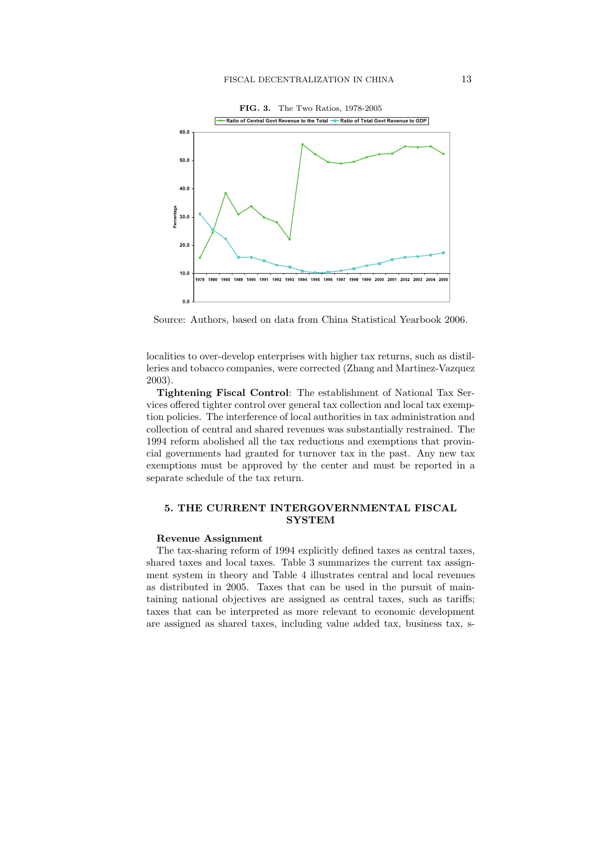

Source: Authors, based on data from China Statistical Yearbook 2006.

localities to over-develop enterprises with higher tax returns, such as distilleries and tobacco companies, were corrected (Zhang and Martinez-Vazquez 2003).

**Tightening Fiscal Control**: The establishment of National Tax Services offered tighter control over general tax collection and local tax exemption policies. The interference of local authorities in tax administration and collection of central and shared revenues was substantially restrained. The 1994 reform abolished all the tax reductions and exemptions that provincial governments had granted for turnover tax in the past. Any new tax exemptions must be approved by the center and must be reported in a separate schedule of the tax return.

# **5. THE CURRENT INTERGOVERNMENTAL FISCAL SYSTEM**

#### **Revenue Assignment**

The tax-sharing reform of 1994 explicitly defined taxes as central taxes, shared taxes and local taxes. Table 3 summarizes the current tax assignment system in theory and Table 4 illustrates central and local revenues as distributed in 2005. Taxes that can be used in the pursuit of maintaining national objectives are assigned as central taxes, such as tariffs; taxes that can be interpreted as more relevant to economic development are assigned as shared taxes, including value added tax, business tax, s-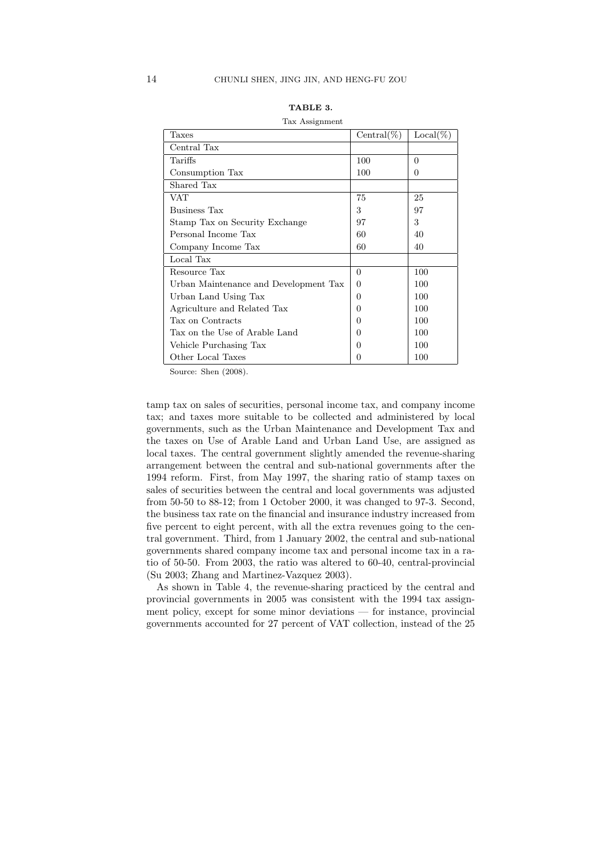| Taxes                                 | $Central(\%)$ | $Local(\%)$ |
|---------------------------------------|---------------|-------------|
| Central Tax                           |               |             |
| Tariffs                               | 100           | 0           |
| Consumption Tax                       | 100           | $\Omega$    |
| Shared Tax                            |               |             |
| VAT                                   | 75            | 25          |
| Business Tax                          | 3             | 97          |
| Stamp Tax on Security Exchange        | 97            | 3           |
| Personal Income Tax                   | 60            | 40          |
| Company Income Tax                    | 60            | 40          |
| Local Tax                             |               |             |
| Resource Tax                          | $\Omega$      | 100         |
| Urban Maintenance and Development Tax | 0             | 100         |
| Urban Land Using Tax                  | 0             | 100         |
| Agriculture and Related Tax           | $\mathbf{0}$  | 100         |
| Tax on Contracts                      | $\Omega$      | 100         |
| Tax on the Use of Arable Land         | $\mathbf{0}$  | 100         |
| Vehicle Purchasing Tax                | $\mathbf{0}$  | 100         |
| Other Local Taxes                     | $\mathbf{0}$  | 100         |

| <b>TABLE</b> |  |
|--------------|--|
|              |  |

Tax Assignment

Source: Shen (2008).

tamp tax on sales of securities, personal income tax, and company income tax; and taxes more suitable to be collected and administered by local governments, such as the Urban Maintenance and Development Tax and the taxes on Use of Arable Land and Urban Land Use, are assigned as local taxes. The central government slightly amended the revenue-sharing arrangement between the central and sub-national governments after the 1994 reform. First, from May 1997, the sharing ratio of stamp taxes on sales of securities between the central and local governments was adjusted from 50-50 to 88-12; from 1 October 2000, it was changed to 97-3. Second, the business tax rate on the financial and insurance industry increased from five percent to eight percent, with all the extra revenues going to the central government. Third, from 1 January 2002, the central and sub-national governments shared company income tax and personal income tax in a ratio of 50-50. From 2003, the ratio was altered to 60-40, central-provincial (Su 2003; Zhang and Martinez-Vazquez 2003).

As shown in Table 4, the revenue-sharing practiced by the central and provincial governments in 2005 was consistent with the 1994 tax assignment policy, except for some minor deviations — for instance, provincial governments accounted for 27 percent of VAT collection, instead of the 25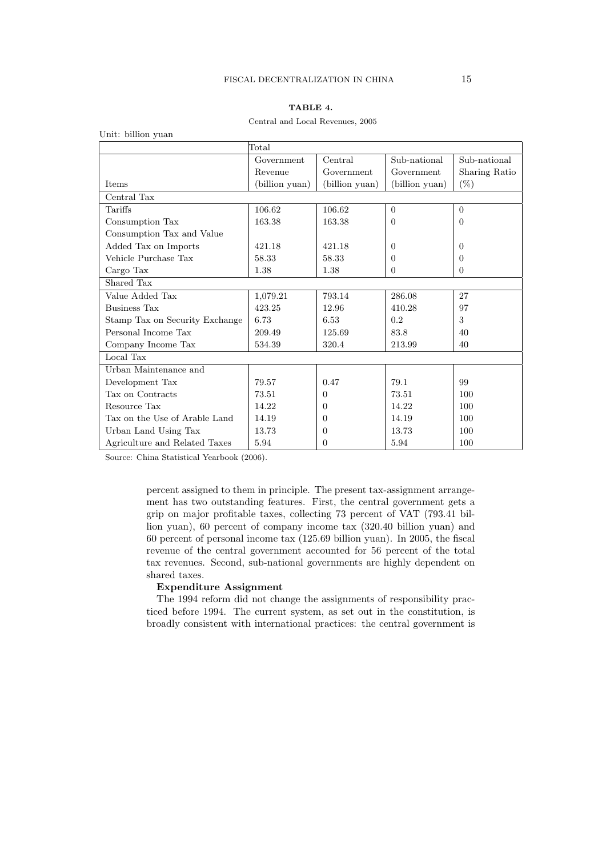| ошь ошюн учан                  |                |                |                |                |
|--------------------------------|----------------|----------------|----------------|----------------|
|                                | Total          |                |                |                |
|                                | Government     | Central        | Sub-national   | Sub-national   |
|                                | Revenue        | Government     | Government     | Sharing Ratio  |
| <b>Items</b>                   | (billion yuan) | (billion yuan) | (billion yuan) | $(\%)$         |
| Central Tax                    |                |                |                |                |
| Tariffs                        | 106.62         | 106.62         | $\overline{0}$ | $\overline{0}$ |
| Consumption Tax                | 163.38         | 163.38         | $\Omega$       | $\Omega$       |
| Consumption Tax and Value      |                |                |                |                |
| Added Tax on Imports           | 421.18         | 421.18         | $\Omega$       | $\Omega$       |
| Vehicle Purchase Tax           | 58.33          | 58.33          | $\Omega$       | $\Omega$       |
| Cargo Tax                      | 1.38           | 1.38           | $\theta$       | $\theta$       |
| Shared Tax                     |                |                |                |                |
| Value Added Tax                | 1,079.21       | 793.14         | 286.08         | 27             |
| Business Tax                   | 423.25         | 12.96          | 410.28         | 97             |
| Stamp Tax on Security Exchange | 6.73           | 6.53           | 0.2            | 3              |
| Personal Income Tax            | 209.49         | 125.69         | 83.8           | 40             |
| Company Income Tax             | 534.39         | 320.4          | 213.99         | 40             |
| Local Tax                      |                |                |                |                |
| Urban Maintenance and          |                |                |                |                |
| Development Tax                | 79.57          | 0.47           | 79.1           | 99             |
| Tax on Contracts               | 73.51          | $\theta$       | 73.51          | 100            |
| Resource Tax                   | 14.22          | $\Omega$       | 14.22          | 100            |
| Tax on the Use of Arable Land  | 14.19          | $\overline{0}$ | 14.19          | 100            |
| Urban Land Using Tax           | 13.73          | $\Omega$       | 13.73          | 100            |
| Agriculture and Related Taxes  | 5.94           | $\Omega$       | 5.94           | 100            |

#### Central and Local Revenues, 2005

Source: China Statistical Yearbook (2006).

Unit: billion yuan

percent assigned to them in principle. The present tax-assignment arrangement has two outstanding features. First, the central government gets a grip on major profitable taxes, collecting 73 percent of VAT (793.41 billion yuan), 60 percent of company income tax (320.40 billion yuan) and 60 percent of personal income tax (125.69 billion yuan). In 2005, the fiscal revenue of the central government accounted for 56 percent of the total tax revenues. Second, sub-national governments are highly dependent on shared taxes.

## **Expenditure Assignment**

The 1994 reform did not change the assignments of responsibility practiced before 1994. The current system, as set out in the constitution, is broadly consistent with international practices: the central government is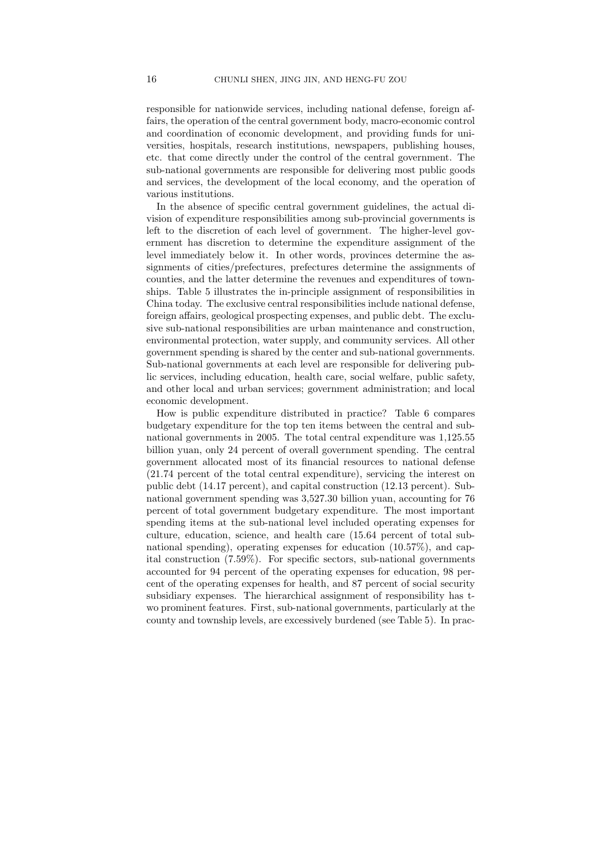responsible for nationwide services, including national defense, foreign affairs, the operation of the central government body, macro-economic control and coordination of economic development, and providing funds for universities, hospitals, research institutions, newspapers, publishing houses, etc. that come directly under the control of the central government. The sub-national governments are responsible for delivering most public goods and services, the development of the local economy, and the operation of various institutions.

In the absence of specific central government guidelines, the actual division of expenditure responsibilities among sub-provincial governments is left to the discretion of each level of government. The higher-level government has discretion to determine the expenditure assignment of the level immediately below it. In other words, provinces determine the assignments of cities/prefectures, prefectures determine the assignments of counties, and the latter determine the revenues and expenditures of townships. Table 5 illustrates the in-principle assignment of responsibilities in China today. The exclusive central responsibilities include national defense, foreign affairs, geological prospecting expenses, and public debt. The exclusive sub-national responsibilities are urban maintenance and construction, environmental protection, water supply, and community services. All other government spending is shared by the center and sub-national governments. Sub-national governments at each level are responsible for delivering public services, including education, health care, social welfare, public safety, and other local and urban services; government administration; and local economic development.

How is public expenditure distributed in practice? Table 6 compares budgetary expenditure for the top ten items between the central and subnational governments in 2005. The total central expenditure was 1,125.55 billion yuan, only 24 percent of overall government spending. The central government allocated most of its financial resources to national defense (21.74 percent of the total central expenditure), servicing the interest on public debt (14.17 percent), and capital construction (12.13 percent). Subnational government spending was 3,527.30 billion yuan, accounting for 76 percent of total government budgetary expenditure. The most important spending items at the sub-national level included operating expenses for culture, education, science, and health care (15.64 percent of total subnational spending), operating expenses for education (10.57%), and capital construction (7.59%). For specific sectors, sub-national governments accounted for 94 percent of the operating expenses for education, 98 percent of the operating expenses for health, and 87 percent of social security subsidiary expenses. The hierarchical assignment of responsibility has two prominent features. First, sub-national governments, particularly at the county and township levels, are excessively burdened (see Table 5). In prac-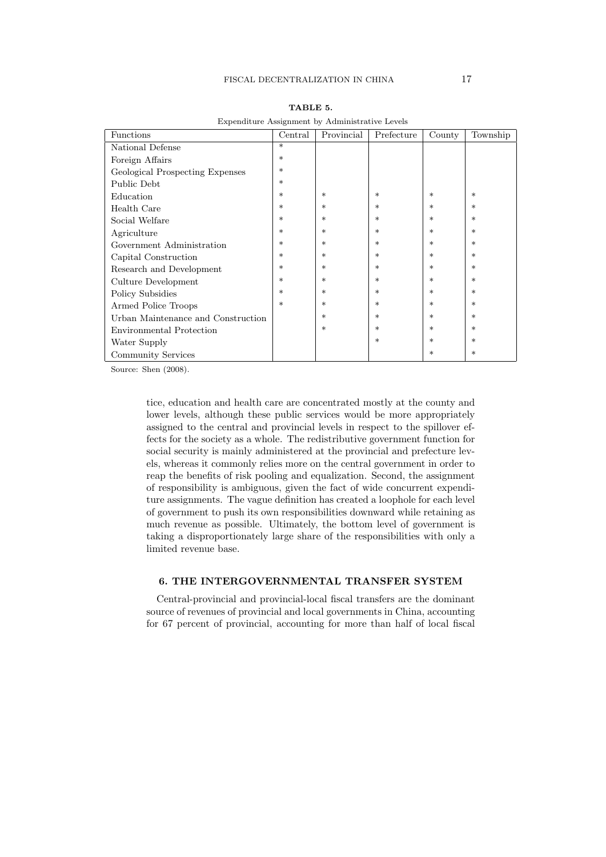| Functions                          | Central | Provincial | Prefecture | County | Township |
|------------------------------------|---------|------------|------------|--------|----------|
| National Defense                   | $\ast$  |            |            |        |          |
| Foreign Affairs                    | $\ast$  |            |            |        |          |
| Geological Prospecting Expenses    | $\ast$  |            |            |        |          |
| Public Debt                        | $\ast$  |            |            |        |          |
| Education                          | $\ast$  | $\ast$     | $\ast$     | $\ast$ | $\ast$   |
| Health Care                        | $\ast$  | $\ast$     | $\ast$     | $\ast$ | $\ast$   |
| Social Welfare                     | $\ast$  | $\ast$     | $\ast$     | $\ast$ | $\ast$   |
| Agriculture                        | $\ast$  | $\ast$     | $\ast$     | *      | $\ast$   |
| Government Administration          | $\ast$  | $\ast$     | $\ast$     | *      | $\ast$   |
| Capital Construction               | $\ast$  | $\ast$     | $\ast$     | $\ast$ | $\ast$   |
| Research and Development           | $\ast$  | $\ast$     | $\ast$     | $\ast$ | $\ast$   |
| Culture Development                | $\ast$  | $\ast$     | $\ast$     | *      | $\ast$   |
| Policy Subsidies                   | $\ast$  | $\ast$     | $\ast$     | *      | $\ast$   |
| Armed Police Troops                | $\ast$  | $\ast$     | $\ast$     | *      | $\ast$   |
| Urban Maintenance and Construction |         | $\ast$     | $\ast$     | *      | $\ast$   |
| Environmental Protection           |         | $\ast$     | $\ast$     | $\ast$ | $\ast$   |
| Water Supply                       |         |            | $\ast$     | $\ast$ | $\ast$   |
| Community Services                 |         |            |            | *      | $\ast$   |

**TABLE 5.**

Expenditure Assignment by Administrative Levels

Source: Shen (2008).

tice, education and health care are concentrated mostly at the county and lower levels, although these public services would be more appropriately assigned to the central and provincial levels in respect to the spillover effects for the society as a whole. The redistributive government function for social security is mainly administered at the provincial and prefecture levels, whereas it commonly relies more on the central government in order to reap the benefits of risk pooling and equalization. Second, the assignment of responsibility is ambiguous, given the fact of wide concurrent expenditure assignments. The vague definition has created a loophole for each level of government to push its own responsibilities downward while retaining as much revenue as possible. Ultimately, the bottom level of government is taking a disproportionately large share of the responsibilities with only a limited revenue base.

# **6. THE INTERGOVERNMENTAL TRANSFER SYSTEM**

Central-provincial and provincial-local fiscal transfers are the dominant source of revenues of provincial and local governments in China, accounting for 67 percent of provincial, accounting for more than half of local fiscal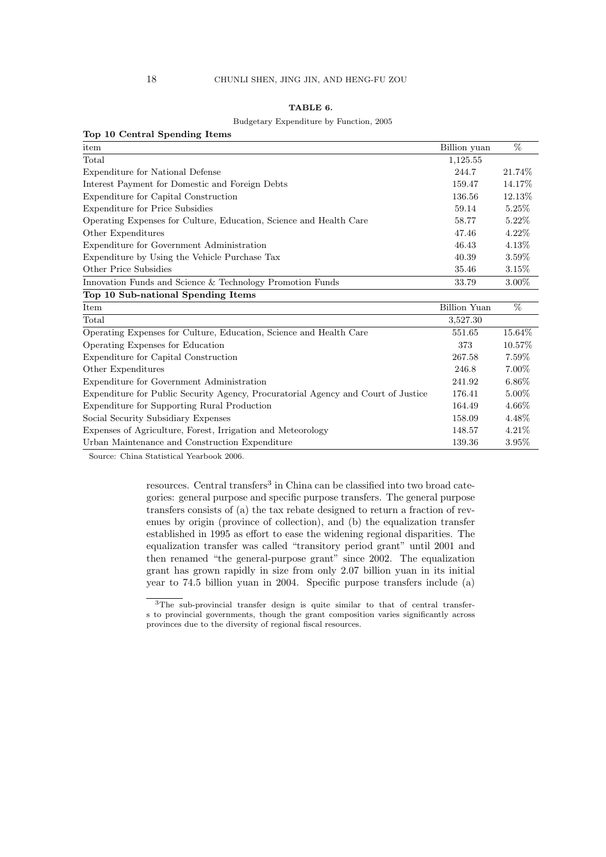## **TABLE 6.**

## Budgetary Expenditure by Function, 2005

| Top 10 Central Spending Items                                                     |                     |          |
|-----------------------------------------------------------------------------------|---------------------|----------|
| item                                                                              | Billion yuan        | %        |
| Total                                                                             | 1,125.55            |          |
| Expenditure for National Defense                                                  | 244.7               | 21.74\%  |
| Interest Payment for Domestic and Foreign Debts                                   | 159.47              | 14.17%   |
| Expenditure for Capital Construction                                              | 136.56              | 12.13%   |
| <b>Expenditure for Price Subsidies</b>                                            | 59.14               | 5.25\%   |
| Operating Expenses for Culture, Education, Science and Health Care                | 58.77               | $5.22\%$ |
| Other Expenditures                                                                | 47.46               | 4.22%    |
| Expenditure for Government Administration                                         | 46.43               | 4.13%    |
| Expenditure by Using the Vehicle Purchase Tax                                     | 40.39               | 3.59%    |
| Other Price Subsidies                                                             | 35.46               | $3.15\%$ |
| Innovation Funds and Science & Technology Promotion Funds                         | 33.79               | 3.00%    |
| Top 10 Sub-national Spending Items                                                |                     |          |
| Item                                                                              | <b>Billion Yuan</b> | $\%$     |
| Total                                                                             | 3,527.30            |          |
| Operating Expenses for Culture, Education, Science and Health Care                | 551.65              | 15.64%   |
| Operating Expenses for Education                                                  | 373                 | 10.57%   |
| Expenditure for Capital Construction                                              | 267.58              | 7.59%    |
| Other Expenditures                                                                | 246.8               | 7.00%    |
| Expenditure for Government Administration                                         | 241.92              | $6.86\%$ |
| Expenditure for Public Security Agency, Procuratorial Agency and Court of Justice | 176.41              | 5.00%    |
| <b>Expenditure for Supporting Rural Production</b>                                | 164.49              | 4.66%    |
| Social Security Subsidiary Expenses                                               | 158.09              | 4.48%    |
| Expenses of Agriculture, Forest, Irrigation and Meteorology                       | 148.57              | $4.21\%$ |
| Urban Maintenance and Construction Expenditure                                    | 139.36              | 3.95%    |

Source: China Statistical Yearbook 2006.

resources. Central transfers<sup>3</sup> in China can be classified into two broad categories: general purpose and specific purpose transfers. The general purpose transfers consists of (a) the tax rebate designed to return a fraction of revenues by origin (province of collection), and (b) the equalization transfer established in 1995 as effort to ease the widening regional disparities. The equalization transfer was called "transitory period grant" until 2001 and then renamed "the general-purpose grant" since 2002. The equalization grant has grown rapidly in size from only 2.07 billion yuan in its initial year to 74.5 billion yuan in 2004. Specific purpose transfers include (a)

<sup>3</sup>The sub-provincial transfer design is quite similar to that of central transfers to provincial governments, though the grant composition varies significantly across provinces due to the diversity of regional fiscal resources.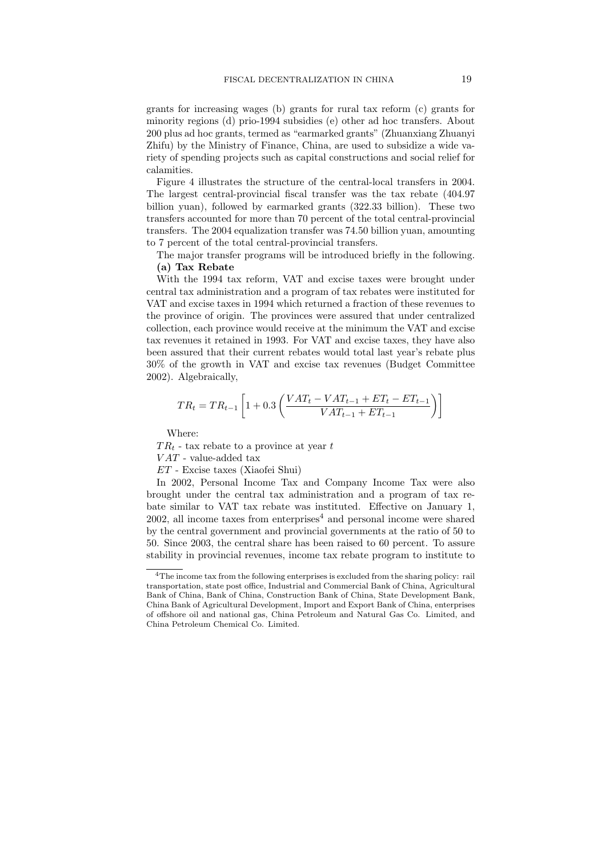grants for increasing wages (b) grants for rural tax reform (c) grants for minority regions (d) prio-1994 subsidies (e) other ad hoc transfers. About 200 plus ad hoc grants, termed as "earmarked grants" (Zhuanxiang Zhuanyi Zhifu) by the Ministry of Finance, China, are used to subsidize a wide variety of spending projects such as capital constructions and social relief for calamities.

Figure 4 illustrates the structure of the central-local transfers in 2004. The largest central-provincial fiscal transfer was the tax rebate (404.97 billion yuan), followed by earmarked grants (322.33 billion). These two transfers accounted for more than 70 percent of the total central-provincial transfers. The 2004 equalization transfer was 74.50 billion yuan, amounting to 7 percent of the total central-provincial transfers.

The major transfer programs will be introduced briefly in the following. **(a) Tax Rebate**

With the 1994 tax reform, VAT and excise taxes were brought under central tax administration and a program of tax rebates were instituted for VAT and excise taxes in 1994 which returned a fraction of these revenues to the province of origin. The provinces were assured that under centralized collection, each province would receive at the minimum the VAT and excise tax revenues it retained in 1993. For VAT and excise taxes, they have also been assured that their current rebates would total last year's rebate plus 30% of the growth in VAT and excise tax revenues (Budget Committee 2002). Algebraically,

$$
TR_{t} = TR_{t-1} \left[ 1 + 0.3 \left( \frac{VAT_{t} - VAT_{t-1} + ET_{t} - ET_{t-1}}{VAT_{t-1} + ET_{t-1}} \right) \right]
$$

Where:

*T R<sup>t</sup>* - tax rebate to a province at year *t*

*V AT* - value-added tax

*ET* - Excise taxes (Xiaofei Shui)

In 2002, Personal Income Tax and Company Income Tax were also brought under the central tax administration and a program of tax rebate similar to VAT tax rebate was instituted. Effective on January 1,  $2002$ , all income taxes from enterprises<sup>4</sup> and personal income were shared by the central government and provincial governments at the ratio of 50 to 50. Since 2003, the central share has been raised to 60 percent. To assure stability in provincial revenues, income tax rebate program to institute to

<sup>&</sup>lt;sup>4</sup>The income tax from the following enterprises is excluded from the sharing policy: rail transportation, state post office, Industrial and Commercial Bank of China, Agricultural Bank of China, Bank of China, Construction Bank of China, State Development Bank, China Bank of Agricultural Development, Import and Export Bank of China, enterprises of offshore oil and national gas, China Petroleum and Natural Gas Co. Limited, and China Petroleum Chemical Co. Limited.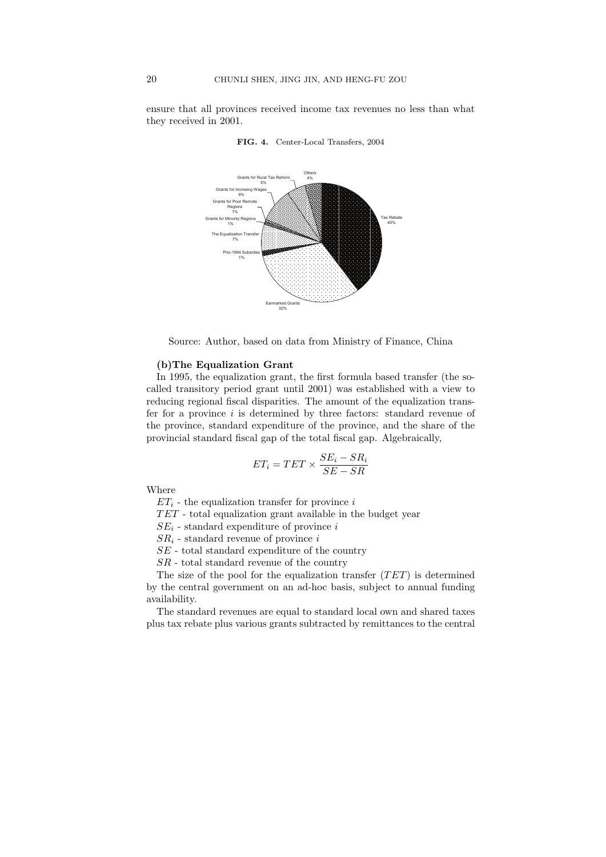ensure that all provinces received income tax revenues no less than what they received in 2001.



**FIG. 4.** Center-Local Transfers, 2004

Source: Author, based on data from Ministry of Finance, China

## **(b)The Equalization Grant**

In 1995, the equalization grant, the first formula based transfer (the socalled transitory period grant until 2001) was established with a view to reducing regional fiscal disparities. The amount of the equalization transfer for a province *i* is determined by three factors: standard revenue of the province, standard expenditure of the province, and the share of the provincial standard fiscal gap of the total fiscal gap. Algebraically,

$$
ET_i = TET \times \frac{SE_i - SR_i}{SE - SR}
$$

Where

 $ET_i$  - the equalization transfer for province *i* 

*T ET* - total equalization grant available in the budget year

 $SE_i$  - standard expenditure of province  $i$ 

 $SR<sub>i</sub>$  - standard revenue of province *i* 

*SE* - total standard expenditure of the country

*SR* - total standard revenue of the country

The size of the pool for the equalization transfer (*T ET*) is determined by the central government on an ad-hoc basis, subject to annual funding availability.

The standard revenues are equal to standard local own and shared taxes plus tax rebate plus various grants subtracted by remittances to the central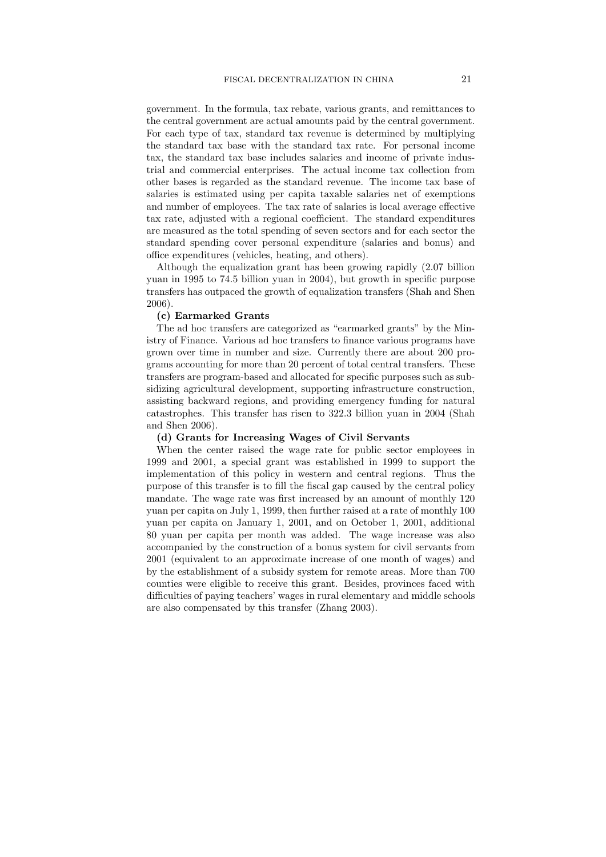government. In the formula, tax rebate, various grants, and remittances to the central government are actual amounts paid by the central government. For each type of tax, standard tax revenue is determined by multiplying the standard tax base with the standard tax rate. For personal income tax, the standard tax base includes salaries and income of private industrial and commercial enterprises. The actual income tax collection from other bases is regarded as the standard revenue. The income tax base of salaries is estimated using per capita taxable salaries net of exemptions and number of employees. The tax rate of salaries is local average effective tax rate, adjusted with a regional coefficient. The standard expenditures are measured as the total spending of seven sectors and for each sector the standard spending cover personal expenditure (salaries and bonus) and office expenditures (vehicles, heating, and others).

Although the equalization grant has been growing rapidly (2.07 billion yuan in 1995 to 74.5 billion yuan in 2004), but growth in specific purpose transfers has outpaced the growth of equalization transfers (Shah and Shen 2006).

## **(c) Earmarked Grants**

The ad hoc transfers are categorized as "earmarked grants" by the Ministry of Finance. Various ad hoc transfers to finance various programs have grown over time in number and size. Currently there are about 200 programs accounting for more than 20 percent of total central transfers. These transfers are program-based and allocated for specific purposes such as subsidizing agricultural development, supporting infrastructure construction, assisting backward regions, and providing emergency funding for natural catastrophes. This transfer has risen to 322.3 billion yuan in 2004 (Shah and Shen 2006).

#### **(d) Grants for Increasing Wages of Civil Servants**

When the center raised the wage rate for public sector employees in 1999 and 2001, a special grant was established in 1999 to support the implementation of this policy in western and central regions. Thus the purpose of this transfer is to fill the fiscal gap caused by the central policy mandate. The wage rate was first increased by an amount of monthly 120 yuan per capita on July 1, 1999, then further raised at a rate of monthly 100 yuan per capita on January 1, 2001, and on October 1, 2001, additional 80 yuan per capita per month was added. The wage increase was also accompanied by the construction of a bonus system for civil servants from 2001 (equivalent to an approximate increase of one month of wages) and by the establishment of a subsidy system for remote areas. More than 700 counties were eligible to receive this grant. Besides, provinces faced with difficulties of paying teachers' wages in rural elementary and middle schools are also compensated by this transfer (Zhang 2003).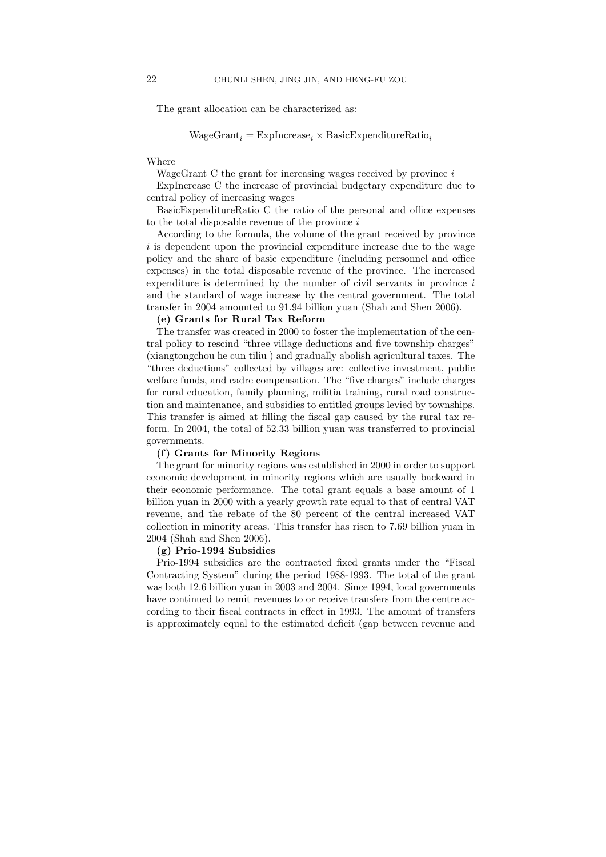The grant allocation can be characterized as:

WageGrant*<sup>i</sup>* = ExpIncrease*<sup>i</sup> ×* BasicExpenditureRatio*<sup>i</sup>*

## Where

WageGrant C the grant for increasing wages received by province *i*

ExpIncrease C the increase of provincial budgetary expenditure due to central policy of increasing wages

BasicExpenditureRatio C the ratio of the personal and office expenses to the total disposable revenue of the province *i*

According to the formula, the volume of the grant received by province *i* is dependent upon the provincial expenditure increase due to the wage policy and the share of basic expenditure (including personnel and office expenses) in the total disposable revenue of the province. The increased expenditure is determined by the number of civil servants in province *i* and the standard of wage increase by the central government. The total transfer in 2004 amounted to 91.94 billion yuan (Shah and Shen 2006).

### **(e) Grants for Rural Tax Reform**

The transfer was created in 2000 to foster the implementation of the central policy to rescind "three village deductions and five township charges" (xiangtongchou he cun tiliu ) and gradually abolish agricultural taxes. The "three deductions" collected by villages are: collective investment, public welfare funds, and cadre compensation. The "five charges" include charges for rural education, family planning, militia training, rural road construction and maintenance, and subsidies to entitled groups levied by townships. This transfer is aimed at filling the fiscal gap caused by the rural tax reform. In 2004, the total of 52.33 billion yuan was transferred to provincial governments.

#### **(f) Grants for Minority Regions**

The grant for minority regions was established in 2000 in order to support economic development in minority regions which are usually backward in their economic performance. The total grant equals a base amount of 1 billion yuan in 2000 with a yearly growth rate equal to that of central VAT revenue, and the rebate of the 80 percent of the central increased VAT collection in minority areas. This transfer has risen to 7.69 billion yuan in 2004 (Shah and Shen 2006).

#### **(g) Prio-1994 Subsidies**

Prio-1994 subsidies are the contracted fixed grants under the "Fiscal Contracting System" during the period 1988-1993. The total of the grant was both 12.6 billion yuan in 2003 and 2004. Since 1994, local governments have continued to remit revenues to or receive transfers from the centre according to their fiscal contracts in effect in 1993. The amount of transfers is approximately equal to the estimated deficit (gap between revenue and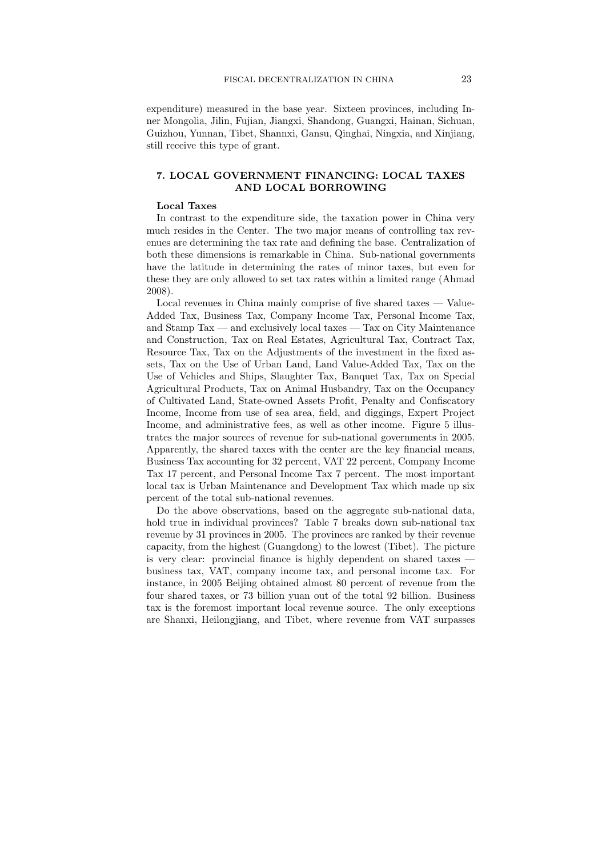expenditure) measured in the base year. Sixteen provinces, including Inner Mongolia, Jilin, Fujian, Jiangxi, Shandong, Guangxi, Hainan, Sichuan, Guizhou, Yunnan, Tibet, Shannxi, Gansu, Qinghai, Ningxia, and Xinjiang, still receive this type of grant.

# **7. LOCAL GOVERNMENT FINANCING: LOCAL TAXES AND LOCAL BORROWING**

## **Local Taxes**

In contrast to the expenditure side, the taxation power in China very much resides in the Center. The two major means of controlling tax revenues are determining the tax rate and defining the base. Centralization of both these dimensions is remarkable in China. Sub-national governments have the latitude in determining the rates of minor taxes, but even for these they are only allowed to set tax rates within a limited range (Ahmad 2008).

Local revenues in China mainly comprise of five shared taxes — Value-Added Tax, Business Tax, Company Income Tax, Personal Income Tax, and Stamp Tax — and exclusively local taxes — Tax on City Maintenance and Construction, Tax on Real Estates, Agricultural Tax, Contract Tax, Resource Tax, Tax on the Adjustments of the investment in the fixed assets, Tax on the Use of Urban Land, Land Value-Added Tax, Tax on the Use of Vehicles and Ships, Slaughter Tax, Banquet Tax, Tax on Special Agricultural Products, Tax on Animal Husbandry, Tax on the Occupancy of Cultivated Land, State-owned Assets Profit, Penalty and Confiscatory Income, Income from use of sea area, field, and diggings, Expert Project Income, and administrative fees, as well as other income. Figure 5 illustrates the major sources of revenue for sub-national governments in 2005. Apparently, the shared taxes with the center are the key financial means, Business Tax accounting for 32 percent, VAT 22 percent, Company Income Tax 17 percent, and Personal Income Tax 7 percent. The most important local tax is Urban Maintenance and Development Tax which made up six percent of the total sub-national revenues.

Do the above observations, based on the aggregate sub-national data, hold true in individual provinces? Table 7 breaks down sub-national tax revenue by 31 provinces in 2005. The provinces are ranked by their revenue capacity, from the highest (Guangdong) to the lowest (Tibet). The picture is very clear: provincial finance is highly dependent on shared taxes business tax, VAT, company income tax, and personal income tax. For instance, in 2005 Beijing obtained almost 80 percent of revenue from the four shared taxes, or 73 billion yuan out of the total 92 billion. Business tax is the foremost important local revenue source. The only exceptions are Shanxi, Heilongjiang, and Tibet, where revenue from VAT surpasses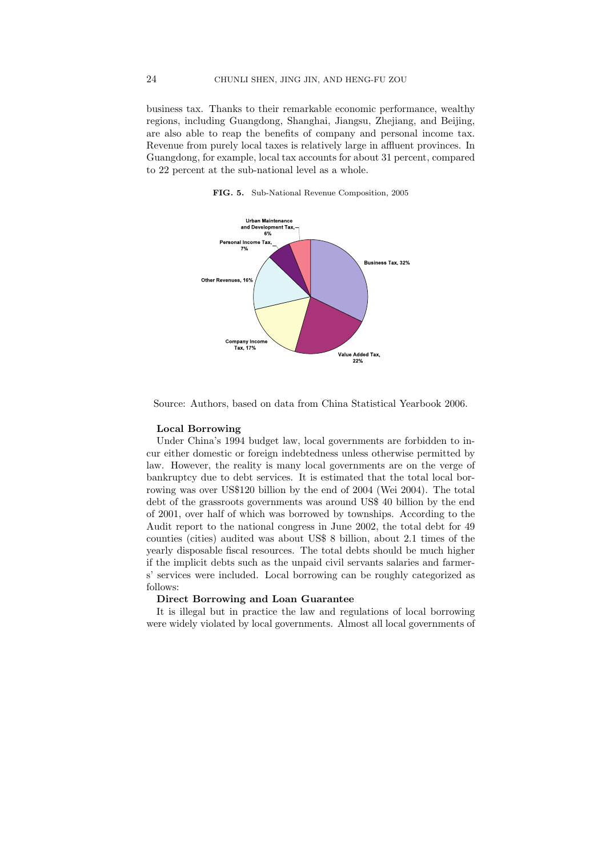business tax. Thanks to their remarkable economic performance, wealthy regions, including Guangdong, Shanghai, Jiangsu, Zhejiang, and Beijing, are also able to reap the benefits of company and personal income tax. Revenue from purely local taxes is relatively large in affluent provinces. In Guangdong, for example, local tax accounts for about 31 percent, compared to 22 percent at the sub-national level as a whole.

**FIG. 5.** Sub-National Revenue Composition, 2005



Source: Authors, based on data from China Statistical Yearbook 2006.

#### **Local Borrowing**

Under China's 1994 budget law, local governments are forbidden to incur either domestic or foreign indebtedness unless otherwise permitted by law. However, the reality is many local governments are on the verge of bankruptcy due to debt services. It is estimated that the total local borrowing was over US\$120 billion by the end of 2004 (Wei 2004). The total debt of the grassroots governments was around US\$ 40 billion by the end of 2001, over half of which was borrowed by townships. According to the Audit report to the national congress in June 2002, the total debt for 49 counties (cities) audited was about US\$ 8 billion, about 2.1 times of the yearly disposable fiscal resources. The total debts should be much higher if the implicit debts such as the unpaid civil servants salaries and farmers' services were included. Local borrowing can be roughly categorized as follows:

## **Direct Borrowing and Loan Guarantee**

It is illegal but in practice the law and regulations of local borrowing were widely violated by local governments. Almost all local governments of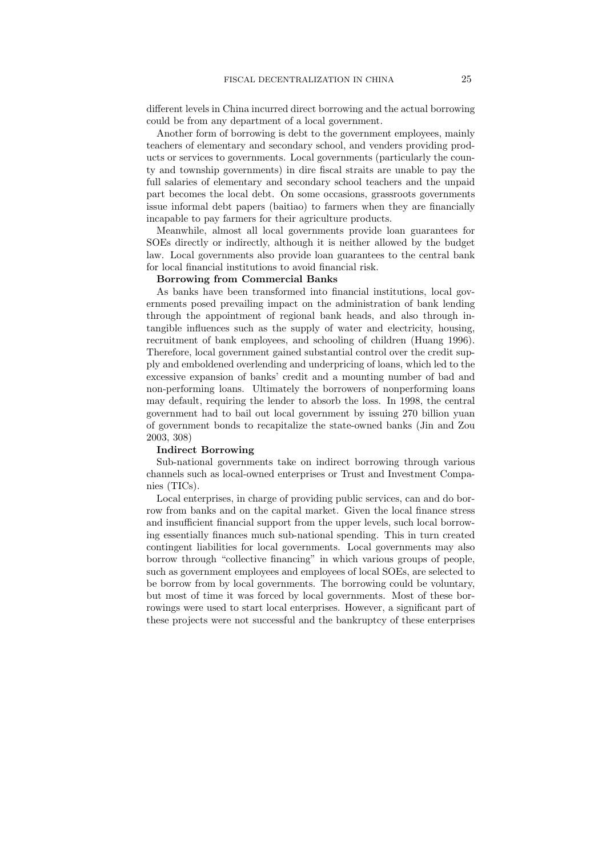different levels in China incurred direct borrowing and the actual borrowing could be from any department of a local government.

Another form of borrowing is debt to the government employees, mainly teachers of elementary and secondary school, and venders providing products or services to governments. Local governments (particularly the county and township governments) in dire fiscal straits are unable to pay the full salaries of elementary and secondary school teachers and the unpaid part becomes the local debt. On some occasions, grassroots governments issue informal debt papers (baitiao) to farmers when they are financially incapable to pay farmers for their agriculture products.

Meanwhile, almost all local governments provide loan guarantees for SOEs directly or indirectly, although it is neither allowed by the budget law. Local governments also provide loan guarantees to the central bank for local financial institutions to avoid financial risk.

#### **Borrowing from Commercial Banks**

As banks have been transformed into financial institutions, local governments posed prevailing impact on the administration of bank lending through the appointment of regional bank heads, and also through intangible influences such as the supply of water and electricity, housing, recruitment of bank employees, and schooling of children (Huang 1996). Therefore, local government gained substantial control over the credit supply and emboldened overlending and underpricing of loans, which led to the excessive expansion of banks' credit and a mounting number of bad and non-performing loans. Ultimately the borrowers of nonperforming loans may default, requiring the lender to absorb the loss. In 1998, the central government had to bail out local government by issuing 270 billion yuan of government bonds to recapitalize the state-owned banks (Jin and Zou 2003, 308)

#### **Indirect Borrowing**

Sub-national governments take on indirect borrowing through various channels such as local-owned enterprises or Trust and Investment Companies (TICs).

Local enterprises, in charge of providing public services, can and do borrow from banks and on the capital market. Given the local finance stress and insufficient financial support from the upper levels, such local borrowing essentially finances much sub-national spending. This in turn created contingent liabilities for local governments. Local governments may also borrow through "collective financing" in which various groups of people, such as government employees and employees of local SOEs, are selected to be borrow from by local governments. The borrowing could be voluntary, but most of time it was forced by local governments. Most of these borrowings were used to start local enterprises. However, a significant part of these projects were not successful and the bankruptcy of these enterprises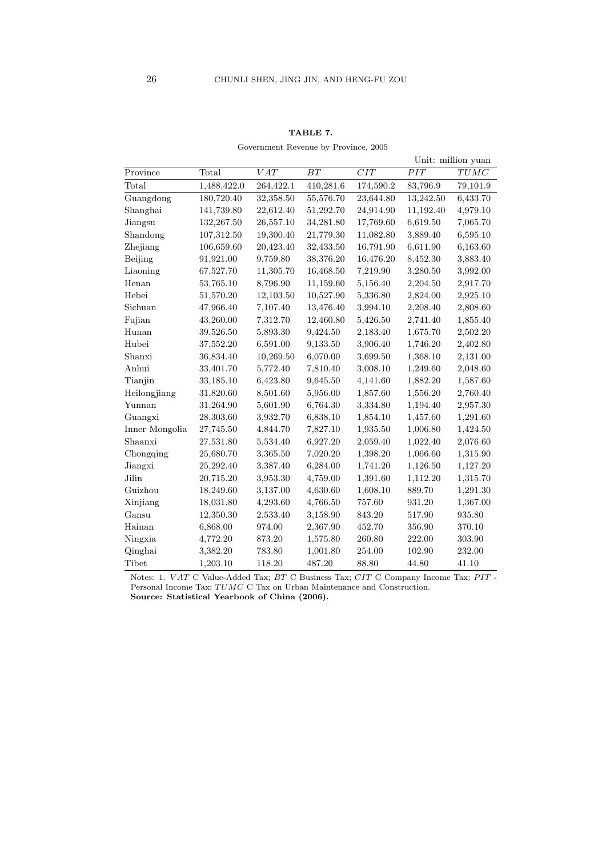# **TABLE 7.**

Government Revenue by Province, 2005

|                |             |           |           |           |             | Unit: million yuan |
|----------------|-------------|-----------|-----------|-----------|-------------|--------------------|
| Province       | Total       | VAT       | BT        | CIT       | $\cal{PIT}$ | $\mathcal T UMC$   |
| Total          | 1,488,422.0 | 264,422.1 | 410,281.6 | 174,590.2 | 83,796.9    | 79,101.9           |
| Guangdong      | 180,720.40  | 32,358.50 | 55,576.70 | 23,644.80 | 13,242.50   | 6,433.70           |
| Shanghai       | 141,739.80  | 22,612.40 | 51,292.70 | 24,914.90 | 11,192.40   | 4,979.10           |
| Jiangsu        | 132,267.50  | 26,557.10 | 34,281.80 | 17,769.60 | 6,619.50    | 7,065.70           |
| Shandong       | 107,312.50  | 19,300.40 | 21,779.30 | 11,082.80 | 3,889.40    | 6,595.10           |
| Zhejiang       | 106,659.60  | 20,423.40 | 32,433.50 | 16,791.90 | 6,611.90    | 6,163.60           |
| Beijing        | 91,921.00   | 9,759.80  | 38,376.20 | 16,476.20 | 8,452.30    | 3,883.40           |
| Liaoning       | 67,527.70   | 11,305.70 | 16,468.50 | 7,219.90  | 3,280.50    | 3,992.00           |
| Henan          | 53,765.10   | 8,796.90  | 11,159.60 | 5,156.40  | 2,204.50    | 2,917.70           |
| Hebei          | 51,570.20   | 12,103.50 | 10,527.90 | 5,336.80  | 2,824.00    | 2,925.10           |
| Sichuan        | 47,966.40   | 7,107.40  | 13,476.40 | 3,994.10  | 2,208.40    | 2,808.60           |
| Fujian         | 43,260.00   | 7,312.70  | 12,460.80 | 5,426.50  | 2,741.40    | 1,855.40           |
| Hunan          | 39,526.50   | 5,893.30  | 9,424.50  | 2,183.40  | 1,675.70    | 2,502.20           |
| Hubei          | 37,552.20   | 6,591.00  | 9,133.50  | 3,906.40  | 1,746.20    | 2,402.80           |
| Shanxi         | 36,834.40   | 10,269.50 | 6,070.00  | 3,699.50  | 1,368.10    | 2,131.00           |
| Anhui          | 33,401.70   | 5,772.40  | 7,810.40  | 3,008.10  | 1,249.60    | 2,048.60           |
| Tianjin        | 33,185.10   | 6,423.80  | 9,645.50  | 4,141.60  | 1,882.20    | 1,587.60           |
| Heilongjiang   | 31,820.60   | 8,501.60  | 5,956.00  | 1,857.60  | 1,556.20    | 2,760.40           |
| Yunnan         | 31,264.90   | 5,601.90  | 6,764.30  | 3,334.80  | 1,194.40    | 2,957.30           |
| Guangxi        | 28,303.60   | 3,932.70  | 6,838.10  | 1,854.10  | 1,457.60    | 1,291.60           |
| Inner Mongolia | 27,745.50   | 4,844.70  | 7,827.10  | 1,935.50  | 1,006.80    | 1,424.50           |
| Shaanxi        | 27,531.80   | 5,534.40  | 6,927.20  | 2,059.40  | 1,022.40    | 2,076.60           |
| Chongqing      | 25,680.70   | 3,365.50  | 7,020.20  | 1,398.20  | 1,066.60    | 1,315.90           |
| Jiangxi        | 25,292.40   | 3,387.40  | 6,284.00  | 1,741.20  | 1,126.50    | 1,127.20           |
| Jilin          | 20,715.20   | 3,953.30  | 4,759.00  | 1,391.60  | 1,112.20    | 1,315.70           |
| Guizhou        | 18,249.60   | 3,137.00  | 4,630.60  | 1,608.10  | 889.70      | 1,291.30           |
| Xinjiang       | 18,031.80   | 4,293.60  | 4,766.50  | 757.60    | 931.20      | 1,367.00           |
| Gansu          | 12,350.30   | 2,533.40  | 3,158.90  | 843.20    | 517.90      | 935.80             |
| Hainan         | 6,868.00    | 974.00    | 2,367.90  | 452.70    | 356.90      | 370.10             |
| Ningxia        | 4,772.20    | 873.20    | 1,575.80  | 260.80    | 222.00      | 303.90             |
| Qinghai        | 3,382.20    | 783.80    | 1,001.80  | 254.00    | 102.90      | 232.00             |
| <b>Tibet</b>   | 1,203.10    | 118.20    | 487.20    | 88.80     | 44.80       | 41.10              |

Notes: 1. *VAT* C Value-Added Tax; *BT* C Business Tax; *CIT* C Company Income Tax; *PIT* -Personal Income Tax; *TUMC* C Tax on Urban Maintenance and Construction.

**Source: Statistical Yearbook of China (2006).**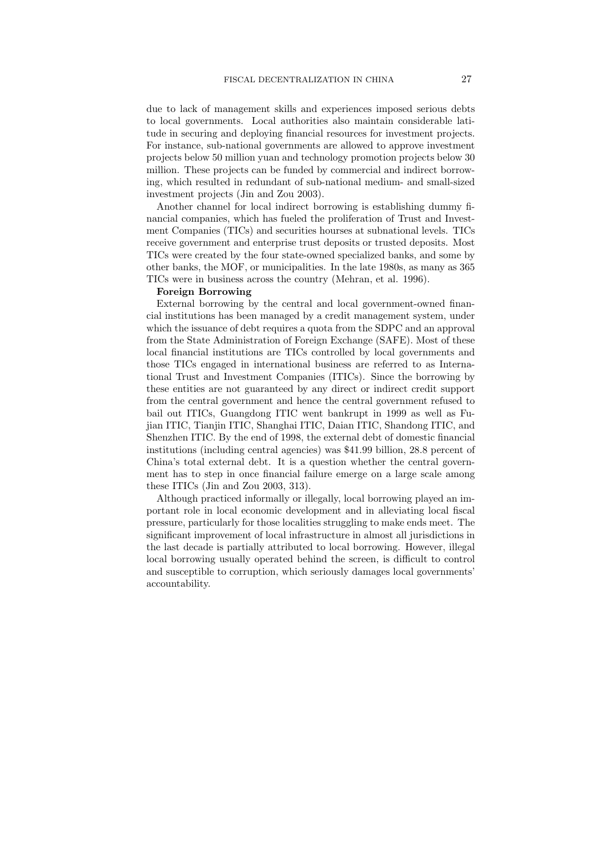due to lack of management skills and experiences imposed serious debts to local governments. Local authorities also maintain considerable latitude in securing and deploying financial resources for investment projects. For instance, sub-national governments are allowed to approve investment projects below 50 million yuan and technology promotion projects below 30 million. These projects can be funded by commercial and indirect borrowing, which resulted in redundant of sub-national medium- and small-sized investment projects (Jin and Zou 2003).

Another channel for local indirect borrowing is establishing dummy financial companies, which has fueled the proliferation of Trust and Investment Companies (TICs) and securities hourses at subnational levels. TICs receive government and enterprise trust deposits or trusted deposits. Most TICs were created by the four state-owned specialized banks, and some by other banks, the MOF, or municipalities. In the late 1980s, as many as 365 TICs were in business across the country (Mehran, et al. 1996).

#### **Foreign Borrowing**

External borrowing by the central and local government-owned financial institutions has been managed by a credit management system, under which the issuance of debt requires a quota from the SDPC and an approval from the State Administration of Foreign Exchange (SAFE). Most of these local financial institutions are TICs controlled by local governments and those TICs engaged in international business are referred to as International Trust and Investment Companies (ITICs). Since the borrowing by these entities are not guaranteed by any direct or indirect credit support from the central government and hence the central government refused to bail out ITICs, Guangdong ITIC went bankrupt in 1999 as well as Fujian ITIC, Tianjin ITIC, Shanghai ITIC, Daian ITIC, Shandong ITIC, and Shenzhen ITIC. By the end of 1998, the external debt of domestic financial institutions (including central agencies) was \$41.99 billion, 28.8 percent of China's total external debt. It is a question whether the central government has to step in once financial failure emerge on a large scale among these ITICs (Jin and Zou 2003, 313).

Although practiced informally or illegally, local borrowing played an important role in local economic development and in alleviating local fiscal pressure, particularly for those localities struggling to make ends meet. The significant improvement of local infrastructure in almost all jurisdictions in the last decade is partially attributed to local borrowing. However, illegal local borrowing usually operated behind the screen, is difficult to control and susceptible to corruption, which seriously damages local governments' accountability.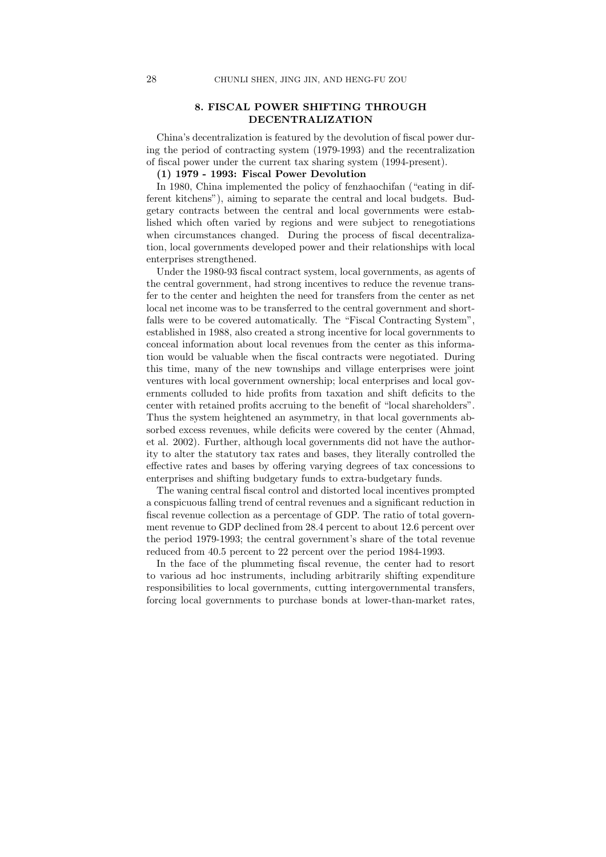# **8. FISCAL POWER SHIFTING THROUGH DECENTRALIZATION**

China's decentralization is featured by the devolution of fiscal power during the period of contracting system (1979-1993) and the recentralization of fiscal power under the current tax sharing system (1994-present).

## **(1) 1979 - 1993: Fiscal Power Devolution**

In 1980, China implemented the policy of fenzhaochifan ("eating in different kitchens"), aiming to separate the central and local budgets. Budgetary contracts between the central and local governments were established which often varied by regions and were subject to renegotiations when circumstances changed. During the process of fiscal decentralization, local governments developed power and their relationships with local enterprises strengthened.

Under the 1980-93 fiscal contract system, local governments, as agents of the central government, had strong incentives to reduce the revenue transfer to the center and heighten the need for transfers from the center as net local net income was to be transferred to the central government and shortfalls were to be covered automatically. The "Fiscal Contracting System", established in 1988, also created a strong incentive for local governments to conceal information about local revenues from the center as this information would be valuable when the fiscal contracts were negotiated. During this time, many of the new townships and village enterprises were joint ventures with local government ownership; local enterprises and local governments colluded to hide profits from taxation and shift deficits to the center with retained profits accruing to the benefit of "local shareholders". Thus the system heightened an asymmetry, in that local governments absorbed excess revenues, while deficits were covered by the center (Ahmad, et al. 2002). Further, although local governments did not have the authority to alter the statutory tax rates and bases, they literally controlled the effective rates and bases by offering varying degrees of tax concessions to enterprises and shifting budgetary funds to extra-budgetary funds.

The waning central fiscal control and distorted local incentives prompted a conspicuous falling trend of central revenues and a significant reduction in fiscal revenue collection as a percentage of GDP. The ratio of total government revenue to GDP declined from 28.4 percent to about 12.6 percent over the period 1979-1993; the central government's share of the total revenue reduced from 40.5 percent to 22 percent over the period 1984-1993.

In the face of the plummeting fiscal revenue, the center had to resort to various ad hoc instruments, including arbitrarily shifting expenditure responsibilities to local governments, cutting intergovernmental transfers, forcing local governments to purchase bonds at lower-than-market rates,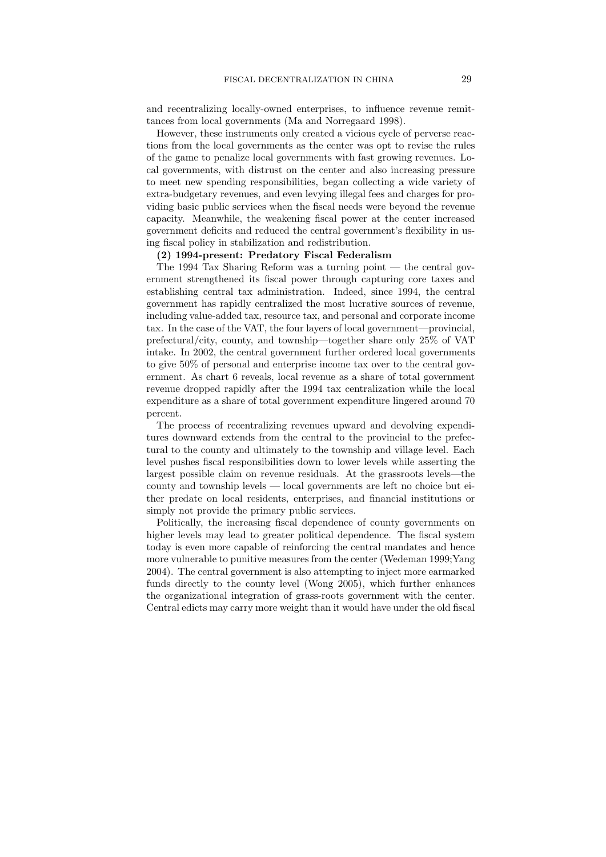and recentralizing locally-owned enterprises, to influence revenue remittances from local governments (Ma and Norregaard 1998).

However, these instruments only created a vicious cycle of perverse reactions from the local governments as the center was opt to revise the rules of the game to penalize local governments with fast growing revenues. Local governments, with distrust on the center and also increasing pressure to meet new spending responsibilities, began collecting a wide variety of extra-budgetary revenues, and even levying illegal fees and charges for providing basic public services when the fiscal needs were beyond the revenue capacity. Meanwhile, the weakening fiscal power at the center increased government deficits and reduced the central government's flexibility in using fiscal policy in stabilization and redistribution.

## **(2) 1994-present: Predatory Fiscal Federalism**

The 1994 Tax Sharing Reform was a turning point — the central government strengthened its fiscal power through capturing core taxes and establishing central tax administration. Indeed, since 1994, the central government has rapidly centralized the most lucrative sources of revenue, including value-added tax, resource tax, and personal and corporate income tax. In the case of the VAT, the four layers of local government—provincial, prefectural/city, county, and township—together share only 25% of VAT intake. In 2002, the central government further ordered local governments to give 50% of personal and enterprise income tax over to the central government. As chart 6 reveals, local revenue as a share of total government revenue dropped rapidly after the 1994 tax centralization while the local expenditure as a share of total government expenditure lingered around 70 percent.

The process of recentralizing revenues upward and devolving expenditures downward extends from the central to the provincial to the prefectural to the county and ultimately to the township and village level. Each level pushes fiscal responsibilities down to lower levels while asserting the largest possible claim on revenue residuals. At the grassroots levels—the county and township levels — local governments are left no choice but either predate on local residents, enterprises, and financial institutions or simply not provide the primary public services.

Politically, the increasing fiscal dependence of county governments on higher levels may lead to greater political dependence. The fiscal system today is even more capable of reinforcing the central mandates and hence more vulnerable to punitive measures from the center (Wedeman 1999;Yang 2004). The central government is also attempting to inject more earmarked funds directly to the county level (Wong 2005), which further enhances the organizational integration of grass-roots government with the center. Central edicts may carry more weight than it would have under the old fiscal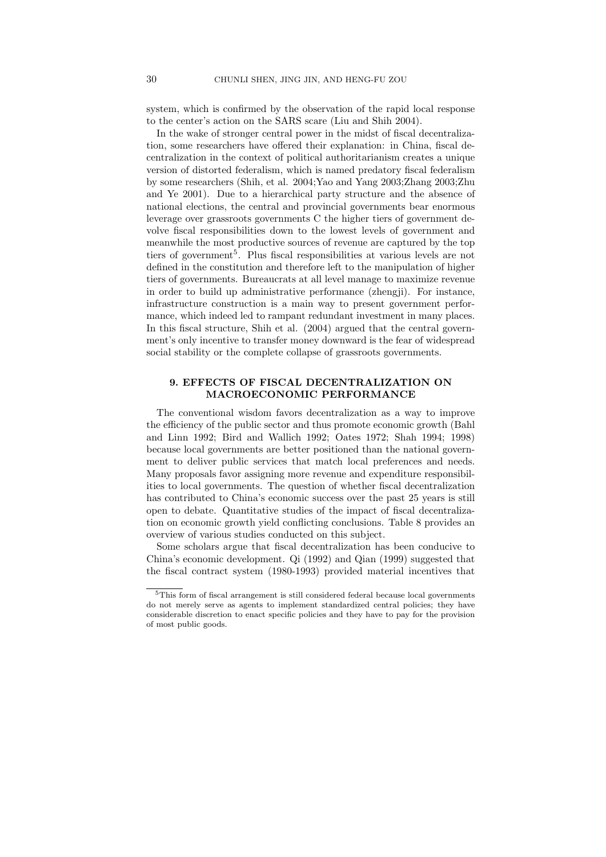system, which is confirmed by the observation of the rapid local response to the center's action on the SARS scare (Liu and Shih 2004).

In the wake of stronger central power in the midst of fiscal decentralization, some researchers have offered their explanation: in China, fiscal decentralization in the context of political authoritarianism creates a unique version of distorted federalism, which is named predatory fiscal federalism by some researchers (Shih, et al. 2004;Yao and Yang 2003;Zhang 2003;Zhu and Ye 2001). Due to a hierarchical party structure and the absence of national elections, the central and provincial governments bear enormous leverage over grassroots governments C the higher tiers of government devolve fiscal responsibilities down to the lowest levels of government and meanwhile the most productive sources of revenue are captured by the top tiers of government<sup>5</sup>. Plus fiscal responsibilities at various levels are not defined in the constitution and therefore left to the manipulation of higher tiers of governments. Bureaucrats at all level manage to maximize revenue in order to build up administrative performance (zhengji). For instance, infrastructure construction is a main way to present government performance, which indeed led to rampant redundant investment in many places. In this fiscal structure, Shih et al. (2004) argued that the central government's only incentive to transfer money downward is the fear of widespread social stability or the complete collapse of grassroots governments.

# **9. EFFECTS OF FISCAL DECENTRALIZATION ON MACROECONOMIC PERFORMANCE**

The conventional wisdom favors decentralization as a way to improve the efficiency of the public sector and thus promote economic growth (Bahl and Linn 1992; Bird and Wallich 1992; Oates 1972; Shah 1994; 1998) because local governments are better positioned than the national government to deliver public services that match local preferences and needs. Many proposals favor assigning more revenue and expenditure responsibilities to local governments. The question of whether fiscal decentralization has contributed to China's economic success over the past 25 years is still open to debate. Quantitative studies of the impact of fiscal decentralization on economic growth yield conflicting conclusions. Table 8 provides an overview of various studies conducted on this subject.

Some scholars argue that fiscal decentralization has been conducive to China's economic development. Qi (1992) and Qian (1999) suggested that the fiscal contract system (1980-1993) provided material incentives that

<sup>5</sup>This form of fiscal arrangement is still considered federal because local governments do not merely serve as agents to implement standardized central policies; they have considerable discretion to enact specific policies and they have to pay for the provision of most public goods.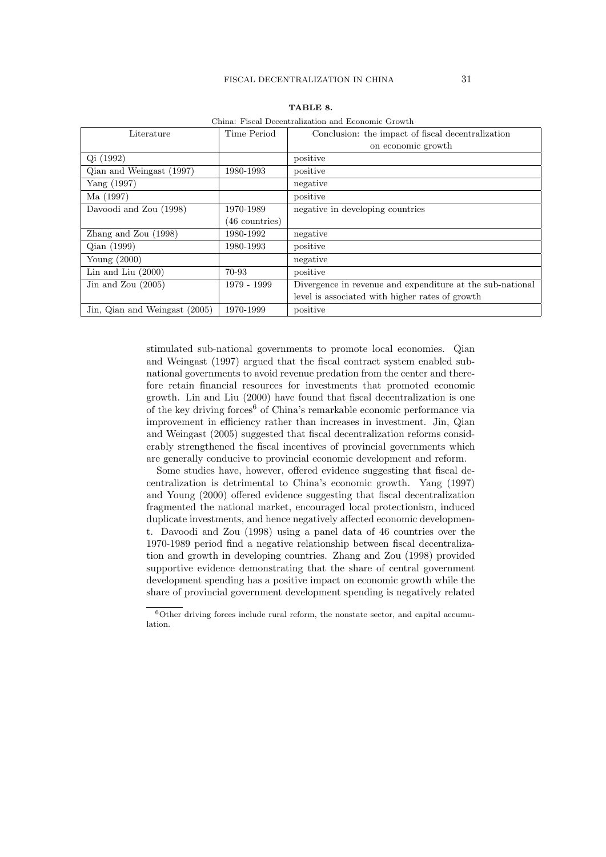| Literature                    | Time Period              | Conclusion: the impact of fiscal decentralization         |
|-------------------------------|--------------------------|-----------------------------------------------------------|
|                               |                          | on economic growth                                        |
| Qi (1992)                     |                          | positive                                                  |
| Qian and Weingast (1997)      | 1980-1993                | positive                                                  |
| Yang(1997)                    |                          | negative                                                  |
| Ma (1997)                     |                          | positive                                                  |
| Davoodi and Zou (1998)        | 1970-1989                | negative in developing countries                          |
|                               | $(46 \text{ countries})$ |                                                           |
| Zhang and Zou (1998)          | 1980-1992                | negative                                                  |
| Qian (1999)                   | 1980-1993                | positive                                                  |
| Young (2000)                  |                          | negative                                                  |
| Lin and Liu $(2000)$          | 70-93                    | positive                                                  |
| Jin and Zou $(2005)$          | 1979 - 1999              | Divergence in revenue and expenditure at the sub-national |
|                               |                          | level is associated with higher rates of growth           |
| Jin, Qian and Weingast (2005) | 1970-1999                | positive                                                  |

**TABLE 8.**

| China: Fiscal Decentralization and Economic Growth |
|----------------------------------------------------|
|----------------------------------------------------|

stimulated sub-national governments to promote local economies. Qian and Weingast (1997) argued that the fiscal contract system enabled subnational governments to avoid revenue predation from the center and therefore retain financial resources for investments that promoted economic growth. Lin and Liu (2000) have found that fiscal decentralization is one of the key driving forces<sup>6</sup> of China's remarkable economic performance via improvement in efficiency rather than increases in investment. Jin, Qian and Weingast (2005) suggested that fiscal decentralization reforms considerably strengthened the fiscal incentives of provincial governments which are generally conducive to provincial economic development and reform.

Some studies have, however, offered evidence suggesting that fiscal decentralization is detrimental to China's economic growth. Yang (1997) and Young (2000) offered evidence suggesting that fiscal decentralization fragmented the national market, encouraged local protectionism, induced duplicate investments, and hence negatively affected economic development. Davoodi and Zou (1998) using a panel data of 46 countries over the 1970-1989 period find a negative relationship between fiscal decentralization and growth in developing countries. Zhang and Zou (1998) provided supportive evidence demonstrating that the share of central government development spending has a positive impact on economic growth while the share of provincial government development spending is negatively related

 $6$ Other driving forces include rural reform, the nonstate sector, and capital accumulation.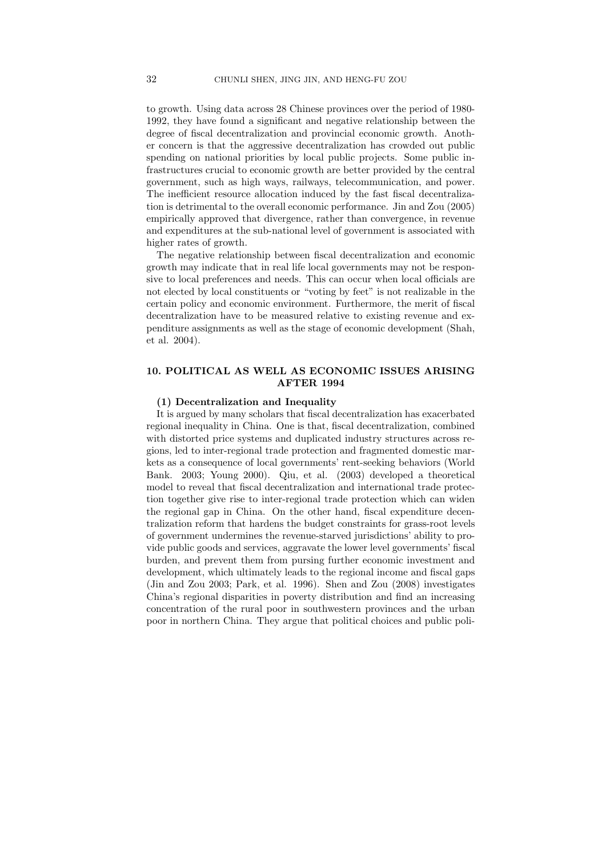to growth. Using data across 28 Chinese provinces over the period of 1980- 1992, they have found a significant and negative relationship between the degree of fiscal decentralization and provincial economic growth. Another concern is that the aggressive decentralization has crowded out public spending on national priorities by local public projects. Some public infrastructures crucial to economic growth are better provided by the central government, such as high ways, railways, telecommunication, and power. The inefficient resource allocation induced by the fast fiscal decentralization is detrimental to the overall economic performance. Jin and Zou (2005) empirically approved that divergence, rather than convergence, in revenue and expenditures at the sub-national level of government is associated with higher rates of growth.

The negative relationship between fiscal decentralization and economic growth may indicate that in real life local governments may not be responsive to local preferences and needs. This can occur when local officials are not elected by local constituents or "voting by feet" is not realizable in the certain policy and economic environment. Furthermore, the merit of fiscal decentralization have to be measured relative to existing revenue and expenditure assignments as well as the stage of economic development (Shah, et al. 2004).

## **10. POLITICAL AS WELL AS ECONOMIC ISSUES ARISING AFTER 1994**

# **(1) Decentralization and Inequality**

It is argued by many scholars that fiscal decentralization has exacerbated regional inequality in China. One is that, fiscal decentralization, combined with distorted price systems and duplicated industry structures across regions, led to inter-regional trade protection and fragmented domestic markets as a consequence of local governments' rent-seeking behaviors (World Bank. 2003; Young 2000). Qiu, et al. (2003) developed a theoretical model to reveal that fiscal decentralization and international trade protection together give rise to inter-regional trade protection which can widen the regional gap in China. On the other hand, fiscal expenditure decentralization reform that hardens the budget constraints for grass-root levels of government undermines the revenue-starved jurisdictions' ability to provide public goods and services, aggravate the lower level governments' fiscal burden, and prevent them from pursing further economic investment and development, which ultimately leads to the regional income and fiscal gaps (Jin and Zou 2003; Park, et al. 1996). Shen and Zou (2008) investigates China's regional disparities in poverty distribution and find an increasing concentration of the rural poor in southwestern provinces and the urban poor in northern China. They argue that political choices and public poli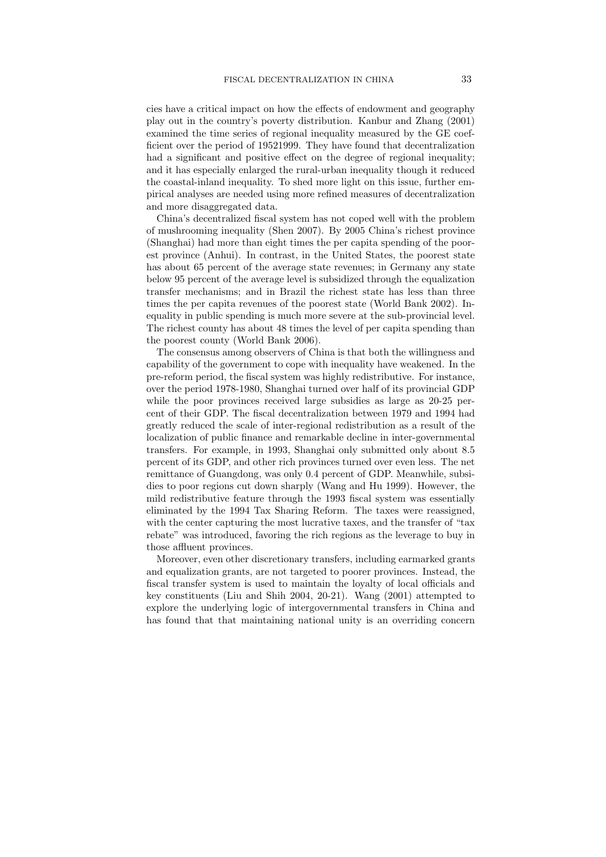cies have a critical impact on how the effects of endowment and geography play out in the country's poverty distribution. Kanbur and Zhang (2001) examined the time series of regional inequality measured by the GE coefficient over the period of 19521999. They have found that decentralization had a significant and positive effect on the degree of regional inequality; and it has especially enlarged the rural-urban inequality though it reduced the coastal-inland inequality. To shed more light on this issue, further empirical analyses are needed using more refined measures of decentralization and more disaggregated data.

China's decentralized fiscal system has not coped well with the problem of mushrooming inequality (Shen 2007). By 2005 China's richest province (Shanghai) had more than eight times the per capita spending of the poorest province (Anhui). In contrast, in the United States, the poorest state has about 65 percent of the average state revenues; in Germany any state below 95 percent of the average level is subsidized through the equalization transfer mechanisms; and in Brazil the richest state has less than three times the per capita revenues of the poorest state (World Bank 2002). Inequality in public spending is much more severe at the sub-provincial level. The richest county has about 48 times the level of per capita spending than the poorest county (World Bank 2006).

The consensus among observers of China is that both the willingness and capability of the government to cope with inequality have weakened. In the pre-reform period, the fiscal system was highly redistributive. For instance, over the period 1978-1980, Shanghai turned over half of its provincial GDP while the poor provinces received large subsidies as large as 20-25 percent of their GDP. The fiscal decentralization between 1979 and 1994 had greatly reduced the scale of inter-regional redistribution as a result of the localization of public finance and remarkable decline in inter-governmental transfers. For example, in 1993, Shanghai only submitted only about 8.5 percent of its GDP, and other rich provinces turned over even less. The net remittance of Guangdong, was only 0.4 percent of GDP. Meanwhile, subsidies to poor regions cut down sharply (Wang and Hu 1999). However, the mild redistributive feature through the 1993 fiscal system was essentially eliminated by the 1994 Tax Sharing Reform. The taxes were reassigned, with the center capturing the most lucrative taxes, and the transfer of "tax" rebate" was introduced, favoring the rich regions as the leverage to buy in those affluent provinces.

Moreover, even other discretionary transfers, including earmarked grants and equalization grants, are not targeted to poorer provinces. Instead, the fiscal transfer system is used to maintain the loyalty of local officials and key constituents (Liu and Shih 2004, 20-21). Wang (2001) attempted to explore the underlying logic of intergovernmental transfers in China and has found that that maintaining national unity is an overriding concern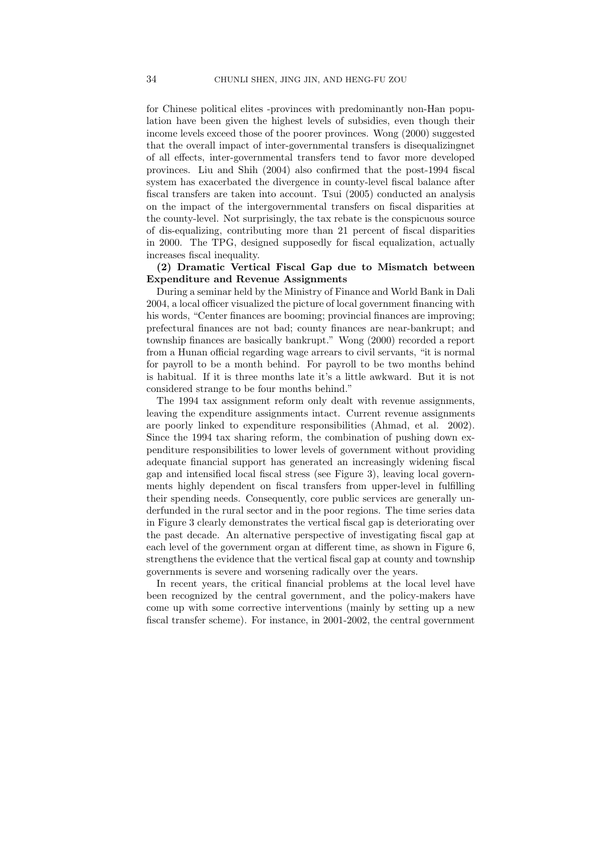for Chinese political elites -provinces with predominantly non-Han population have been given the highest levels of subsidies, even though their income levels exceed those of the poorer provinces. Wong (2000) suggested that the overall impact of inter-governmental transfers is disequalizingnet of all effects, inter-governmental transfers tend to favor more developed provinces. Liu and Shih (2004) also confirmed that the post-1994 fiscal system has exacerbated the divergence in county-level fiscal balance after fiscal transfers are taken into account. Tsui (2005) conducted an analysis on the impact of the intergovernmental transfers on fiscal disparities at the county-level. Not surprisingly, the tax rebate is the conspicuous source of dis-equalizing, contributing more than 21 percent of fiscal disparities in 2000. The TPG, designed supposedly for fiscal equalization, actually increases fiscal inequality.

# **(2) Dramatic Vertical Fiscal Gap due to Mismatch between Expenditure and Revenue Assignments**

During a seminar held by the Ministry of Finance and World Bank in Dali 2004, a local officer visualized the picture of local government financing with his words, "Center finances are booming; provincial finances are improving; prefectural finances are not bad; county finances are near-bankrupt; and township finances are basically bankrupt." Wong (2000) recorded a report from a Hunan official regarding wage arrears to civil servants, "it is normal for payroll to be a month behind. For payroll to be two months behind is habitual. If it is three months late it's a little awkward. But it is not considered strange to be four months behind."

The 1994 tax assignment reform only dealt with revenue assignments, leaving the expenditure assignments intact. Current revenue assignments are poorly linked to expenditure responsibilities (Ahmad, et al. 2002). Since the 1994 tax sharing reform, the combination of pushing down expenditure responsibilities to lower levels of government without providing adequate financial support has generated an increasingly widening fiscal gap and intensified local fiscal stress (see Figure 3), leaving local governments highly dependent on fiscal transfers from upper-level in fulfilling their spending needs. Consequently, core public services are generally underfunded in the rural sector and in the poor regions. The time series data in Figure 3 clearly demonstrates the vertical fiscal gap is deteriorating over the past decade. An alternative perspective of investigating fiscal gap at each level of the government organ at different time, as shown in Figure 6, strengthens the evidence that the vertical fiscal gap at county and township governments is severe and worsening radically over the years.

In recent years, the critical financial problems at the local level have been recognized by the central government, and the policy-makers have come up with some corrective interventions (mainly by setting up a new fiscal transfer scheme). For instance, in 2001-2002, the central government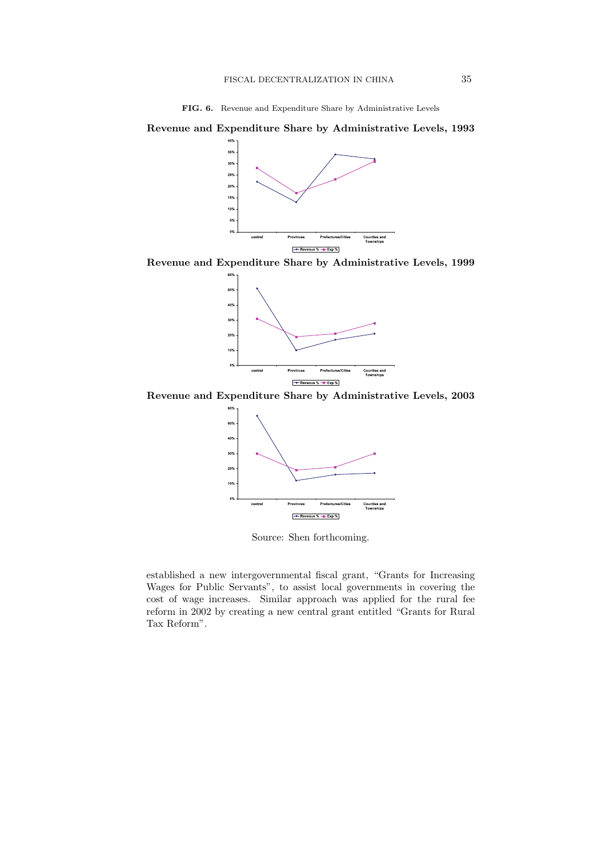**FIG. 6.** Revenue and Expenditure Share by Administrative Levels

**Revenue and Expenditure Share by Administrative Levels, 1993**



**Revenue and Expenditure Share by Administrative Levels, 1999**



**Revenue and Expenditure Share by Administrative Levels, 2003**



Source: Shen forthcoming.

established a new intergovernmental fiscal grant, "Grants for Increasing Wages for Public Servants", to assist local governments in covering the cost of wage increases. Similar approach was applied for the rural fee reform in 2002 by creating a new central grant entitled "Grants for Rural Tax Reform".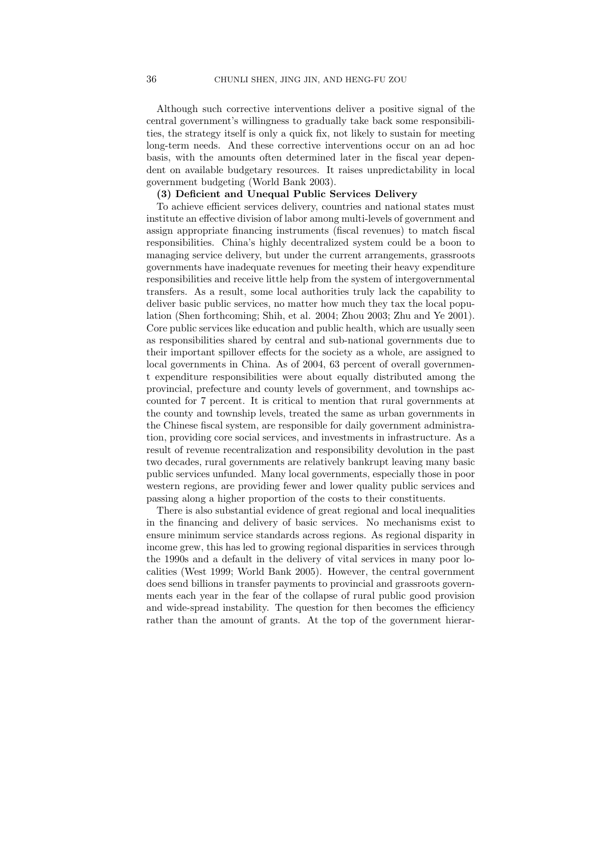Although such corrective interventions deliver a positive signal of the central government's willingness to gradually take back some responsibilities, the strategy itself is only a quick fix, not likely to sustain for meeting long-term needs. And these corrective interventions occur on an ad hoc basis, with the amounts often determined later in the fiscal year dependent on available budgetary resources. It raises unpredictability in local government budgeting (World Bank 2003).

# **(3) Deficient and Unequal Public Services Delivery**

To achieve efficient services delivery, countries and national states must institute an effective division of labor among multi-levels of government and assign appropriate financing instruments (fiscal revenues) to match fiscal responsibilities. China's highly decentralized system could be a boon to managing service delivery, but under the current arrangements, grassroots governments have inadequate revenues for meeting their heavy expenditure responsibilities and receive little help from the system of intergovernmental transfers. As a result, some local authorities truly lack the capability to deliver basic public services, no matter how much they tax the local population (Shen forthcoming; Shih, et al. 2004; Zhou 2003; Zhu and Ye 2001). Core public services like education and public health, which are usually seen as responsibilities shared by central and sub-national governments due to their important spillover effects for the society as a whole, are assigned to local governments in China. As of 2004, 63 percent of overall government expenditure responsibilities were about equally distributed among the provincial, prefecture and county levels of government, and townships accounted for 7 percent. It is critical to mention that rural governments at the county and township levels, treated the same as urban governments in the Chinese fiscal system, are responsible for daily government administration, providing core social services, and investments in infrastructure. As a result of revenue recentralization and responsibility devolution in the past two decades, rural governments are relatively bankrupt leaving many basic public services unfunded. Many local governments, especially those in poor western regions, are providing fewer and lower quality public services and passing along a higher proportion of the costs to their constituents.

There is also substantial evidence of great regional and local inequalities in the financing and delivery of basic services. No mechanisms exist to ensure minimum service standards across regions. As regional disparity in income grew, this has led to growing regional disparities in services through the 1990s and a default in the delivery of vital services in many poor localities (West 1999; World Bank 2005). However, the central government does send billions in transfer payments to provincial and grassroots governments each year in the fear of the collapse of rural public good provision and wide-spread instability. The question for then becomes the efficiency rather than the amount of grants. At the top of the government hierar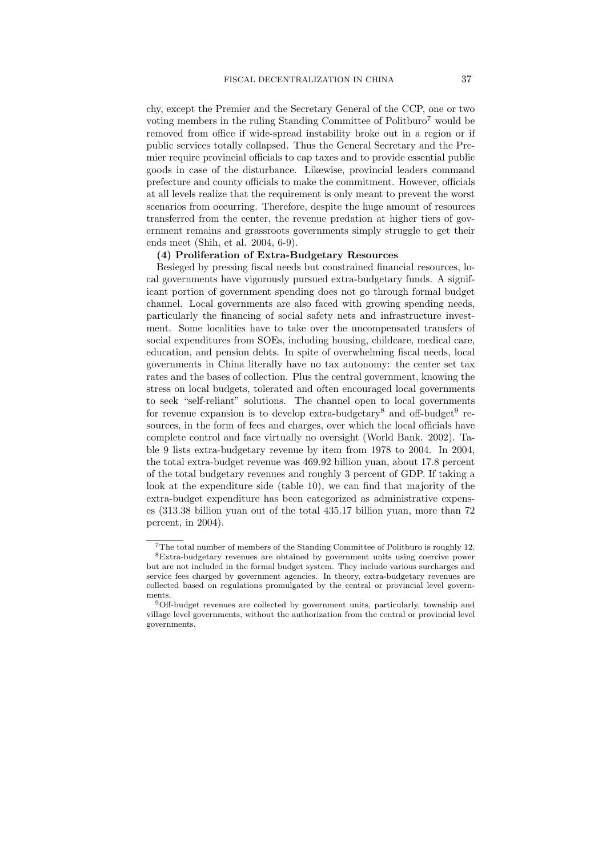chy, except the Premier and the Secretary General of the CCP, one or two voting members in the ruling Standing Committee of Politburo<sup>7</sup> would be removed from office if wide-spread instability broke out in a region or if public services totally collapsed. Thus the General Secretary and the Premier require provincial officials to cap taxes and to provide essential public goods in case of the disturbance. Likewise, provincial leaders command prefecture and county officials to make the commitment. However, officials at all levels realize that the requirement is only meant to prevent the worst scenarios from occurring. Therefore, despite the huge amount of resources transferred from the center, the revenue predation at higher tiers of government remains and grassroots governments simply struggle to get their ends meet (Shih, et al. 2004, 6-9).

# **(4) Proliferation of Extra-Budgetary Resources**

Besieged by pressing fiscal needs but constrained financial resources, local governments have vigorously pursued extra-budgetary funds. A significant portion of government spending does not go through formal budget channel. Local governments are also faced with growing spending needs, particularly the financing of social safety nets and infrastructure investment. Some localities have to take over the uncompensated transfers of social expenditures from SOEs, including housing, childcare, medical care, education, and pension debts. In spite of overwhelming fiscal needs, local governments in China literally have no tax autonomy: the center set tax rates and the bases of collection. Plus the central government, knowing the stress on local budgets, tolerated and often encouraged local governments to seek "self-reliant" solutions. The channel open to local governments for revenue expansion is to develop extra-budgetary<sup>8</sup> and off-budget<sup>9</sup> resources, in the form of fees and charges, over which the local officials have complete control and face virtually no oversight (World Bank. 2002). Table 9 lists extra-budgetary revenue by item from 1978 to 2004. In 2004, the total extra-budget revenue was 469.92 billion yuan, about 17.8 percent of the total budgetary revenues and roughly 3 percent of GDP. If taking a look at the expenditure side (table 10), we can find that majority of the extra-budget expenditure has been categorized as administrative expenses (313.38 billion yuan out of the total 435.17 billion yuan, more than 72 percent, in 2004).

<sup>7</sup>The total number of members of the Standing Committee of Politburo is roughly 12. <sup>8</sup>Extra-budgetary revenues are obtained by government units using coercive power but are not included in the formal budget system. They include various surcharges and service fees charged by government agencies. In theory, extra-budgetary revenues are collected based on regulations promulgated by the central or provincial level governments.

<sup>9</sup>Off-budget revenues are collected by government units, particularly, township and village level governments, without the authorization from the central or provincial level governments.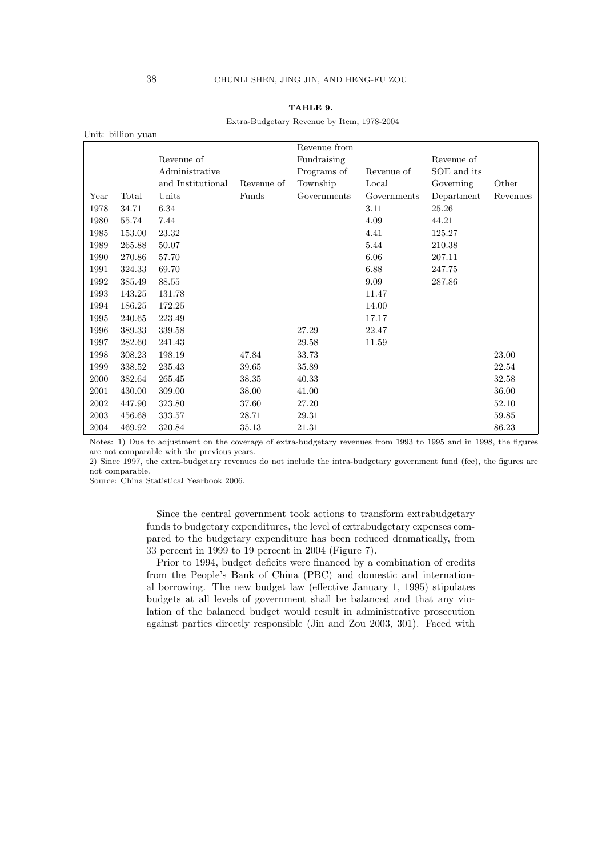### **TABLE 9.**

#### Extra-Budgetary Revenue by Item, 1978-2004

|      | Unit: billion yuan |                   |            |              |             |             |          |
|------|--------------------|-------------------|------------|--------------|-------------|-------------|----------|
|      |                    |                   |            | Revenue from |             |             |          |
|      |                    | Revenue of        |            | Fundraising  |             | Revenue of  |          |
|      |                    | Administrative    |            | Programs of  | Revenue of  | SOE and its |          |
|      |                    | and Institutional | Revenue of | Township     | Local       | Governing   | Other    |
| Year | Total              | Units             | Funds      | Governments  | Governments | Department  | Revenues |
| 1978 | 34.71              | 6.34              |            |              | 3.11        | 25.26       |          |
| 1980 | 55.74              | 7.44              |            |              | 4.09        | 44.21       |          |
| 1985 | 153.00             | 23.32             |            |              | 4.41        | 125.27      |          |
| 1989 | 265.88             | 50.07             |            |              | 5.44        | 210.38      |          |
| 1990 | 270.86             | 57.70             |            |              | 6.06        | 207.11      |          |
| 1991 | 324.33             | 69.70             |            |              | 6.88        | 247.75      |          |
| 1992 | 385.49             | 88.55             |            |              | 9.09        | 287.86      |          |
| 1993 | 143.25             | 131.78            |            |              | 11.47       |             |          |
| 1994 | 186.25             | 172.25            |            |              | 14.00       |             |          |
| 1995 | 240.65             | 223.49            |            |              | 17.17       |             |          |
| 1996 | 389.33             | 339.58            |            | 27.29        | 22.47       |             |          |
| 1997 | 282.60             | 241.43            |            | 29.58        | 11.59       |             |          |
| 1998 | 308.23             | 198.19            | 47.84      | 33.73        |             |             | 23.00    |
| 1999 | 338.52             | 235.43            | 39.65      | 35.89        |             |             | 22.54    |
| 2000 | 382.64             | 265.45            | $38.35\,$  | 40.33        |             |             | 32.58    |
| 2001 | 430.00             | 309.00            | 38.00      | 41.00        |             |             | 36.00    |
| 2002 | 447.90             | 323.80            | 37.60      | 27.20        |             |             | 52.10    |
| 2003 | 456.68             | 333.57            | 28.71      | 29.31        |             |             | 59.85    |
| 2004 | 469.92             | 320.84            | 35.13      | 21.31        |             |             | 86.23    |

Notes: 1) Due to adjustment on the coverage of extra-budgetary revenues from 1993 to 1995 and in 1998, the figures are not comparable with the previous years.

2) Since 1997, the extra-budgetary revenues do not include the intra-budgetary government fund (fee), the figures are not comparable.

Source: China Statistical Yearbook 2006.

Since the central government took actions to transform extrabudgetary funds to budgetary expenditures, the level of extrabudgetary expenses compared to the budgetary expenditure has been reduced dramatically, from 33 percent in 1999 to 19 percent in 2004 (Figure 7).

Prior to 1994, budget deficits were financed by a combination of credits from the People's Bank of China (PBC) and domestic and international borrowing. The new budget law (effective January 1, 1995) stipulates budgets at all levels of government shall be balanced and that any violation of the balanced budget would result in administrative prosecution against parties directly responsible (Jin and Zou 2003, 301). Faced with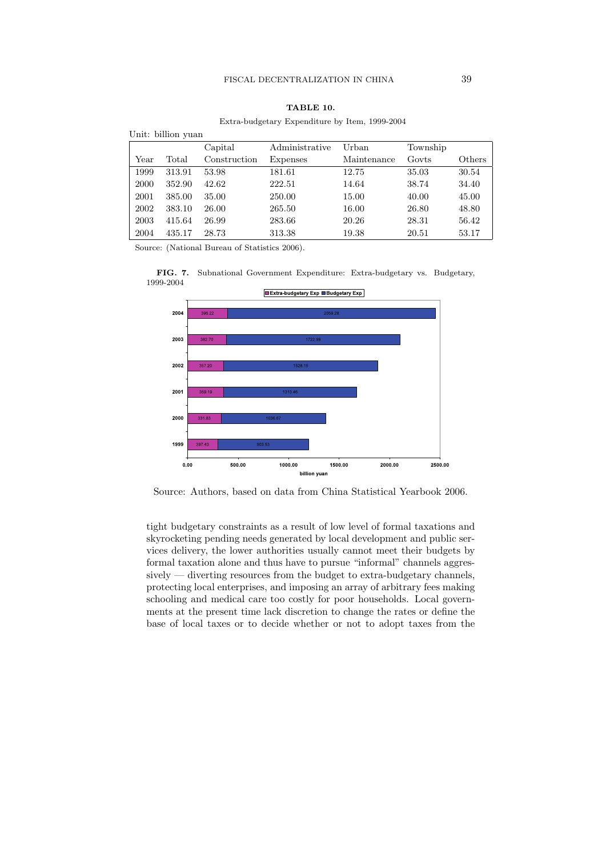| $\mu$ xua-budgetary $\mu$ xpenditure by Ttem, 1999-2004 |        |              |                |             |          |        |
|---------------------------------------------------------|--------|--------------|----------------|-------------|----------|--------|
| Unit: billion yuan                                      |        |              |                |             |          |        |
|                                                         |        | Capital      | Administrative | Urban       | Township |        |
| Year                                                    | Total  | Construction | Expenses       | Maintenance | Govts    | Others |
| 1999                                                    | 313.91 | 53.98        | 181.61         | 12.75       | 35.03    | 30.54  |
| 2000                                                    | 352.90 | 42.62        | 222.51         | 14.64       | 38.74    | 34.40  |
| 2001                                                    | 385.00 | 35.00        | 250.00         | 15.00       | 40.00    | 45.00  |
| 2002                                                    | 383.10 | 26.00        | 265.50         | 16.00       | 26.80    | 48.80  |
| 2003                                                    | 415.64 | 26.99        | 283.66         | 20.26       | 28.31    | 56.42  |
| 2004                                                    | 435.17 | 28.73        | 313.38         | 19.38       | 20.51    | 53.17  |

Extra-budgetary Expenditure by Item, 1999-2004

Source: (National Bureau of Statistics 2006).

**FIG. 7.** Subnational Government Expenditure: Extra-budgetary vs. Budgetary, 1999-2004



Source: Authors, based on data from China Statistical Yearbook 2006.

tight budgetary constraints as a result of low level of formal taxations and skyrocketing pending needs generated by local development and public services delivery, the lower authorities usually cannot meet their budgets by formal taxation alone and thus have to pursue "informal" channels aggressively — diverting resources from the budget to extra-budgetary channels, protecting local enterprises, and imposing an array of arbitrary fees making schooling and medical care too costly for poor households. Local governments at the present time lack discretion to change the rates or define the base of local taxes or to decide whether or not to adopt taxes from the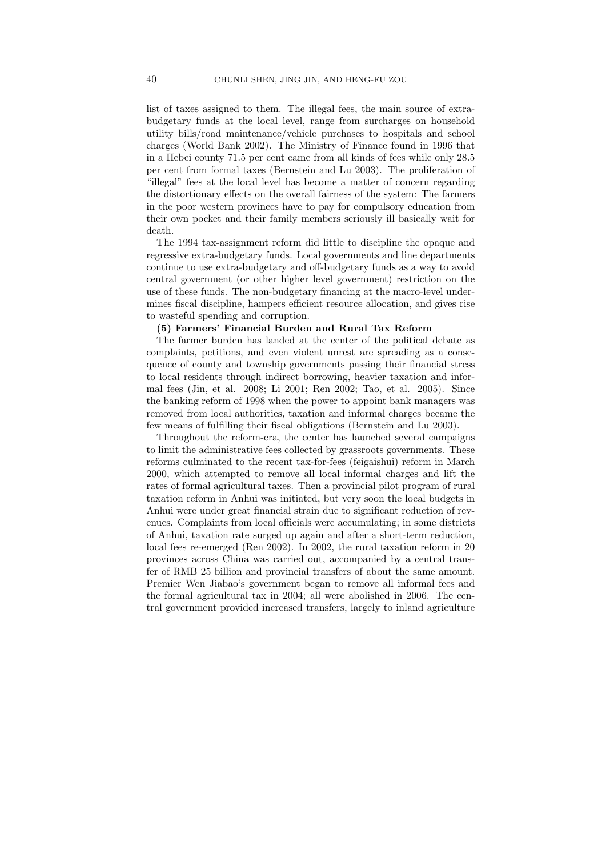list of taxes assigned to them. The illegal fees, the main source of extrabudgetary funds at the local level, range from surcharges on household utility bills/road maintenance/vehicle purchases to hospitals and school charges (World Bank 2002). The Ministry of Finance found in 1996 that in a Hebei county 71.5 per cent came from all kinds of fees while only 28.5 per cent from formal taxes (Bernstein and Lu 2003). The proliferation of "illegal" fees at the local level has become a matter of concern regarding the distortionary effects on the overall fairness of the system: The farmers in the poor western provinces have to pay for compulsory education from their own pocket and their family members seriously ill basically wait for death.

The 1994 tax-assignment reform did little to discipline the opaque and regressive extra-budgetary funds. Local governments and line departments continue to use extra-budgetary and off-budgetary funds as a way to avoid central government (or other higher level government) restriction on the use of these funds. The non-budgetary financing at the macro-level undermines fiscal discipline, hampers efficient resource allocation, and gives rise to wasteful spending and corruption.

## **(5) Farmers' Financial Burden and Rural Tax Reform**

The farmer burden has landed at the center of the political debate as complaints, petitions, and even violent unrest are spreading as a consequence of county and township governments passing their financial stress to local residents through indirect borrowing, heavier taxation and informal fees (Jin, et al. 2008; Li 2001; Ren 2002; Tao, et al. 2005). Since the banking reform of 1998 when the power to appoint bank managers was removed from local authorities, taxation and informal charges became the few means of fulfilling their fiscal obligations (Bernstein and Lu 2003).

Throughout the reform-era, the center has launched several campaigns to limit the administrative fees collected by grassroots governments. These reforms culminated to the recent tax-for-fees (feigaishui) reform in March 2000, which attempted to remove all local informal charges and lift the rates of formal agricultural taxes. Then a provincial pilot program of rural taxation reform in Anhui was initiated, but very soon the local budgets in Anhui were under great financial strain due to significant reduction of revenues. Complaints from local officials were accumulating; in some districts of Anhui, taxation rate surged up again and after a short-term reduction, local fees re-emerged (Ren 2002). In 2002, the rural taxation reform in 20 provinces across China was carried out, accompanied by a central transfer of RMB 25 billion and provincial transfers of about the same amount. Premier Wen Jiabao's government began to remove all informal fees and the formal agricultural tax in 2004; all were abolished in 2006. The central government provided increased transfers, largely to inland agriculture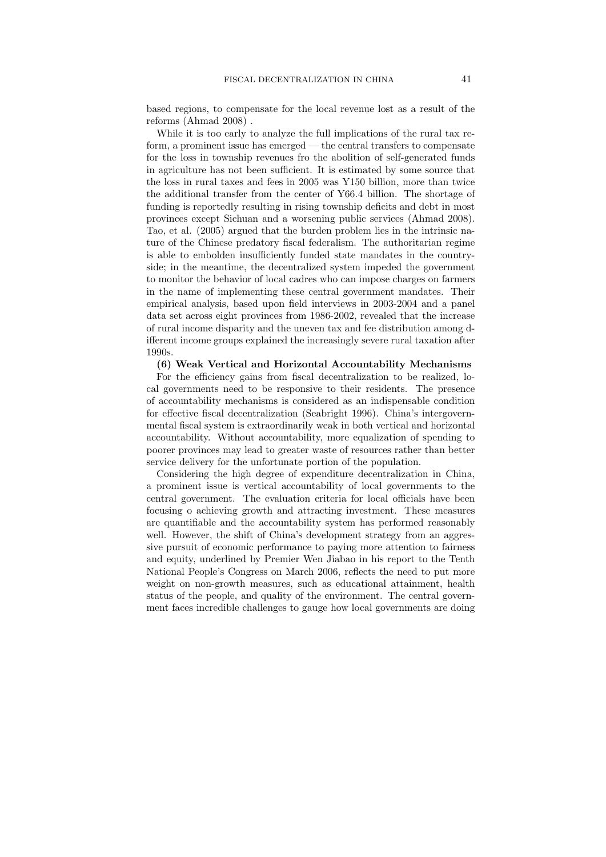based regions, to compensate for the local revenue lost as a result of the reforms (Ahmad 2008) .

While it is too early to analyze the full implications of the rural tax reform, a prominent issue has emerged — the central transfers to compensate for the loss in township revenues fro the abolition of self-generated funds in agriculture has not been sufficient. It is estimated by some source that the loss in rural taxes and fees in 2005 was Y150 billion, more than twice the additional transfer from the center of Y66.4 billion. The shortage of funding is reportedly resulting in rising township deficits and debt in most provinces except Sichuan and a worsening public services (Ahmad 2008). Tao, et al. (2005) argued that the burden problem lies in the intrinsic nature of the Chinese predatory fiscal federalism. The authoritarian regime is able to embolden insufficiently funded state mandates in the countryside; in the meantime, the decentralized system impeded the government to monitor the behavior of local cadres who can impose charges on farmers in the name of implementing these central government mandates. Their empirical analysis, based upon field interviews in 2003-2004 and a panel data set across eight provinces from 1986-2002, revealed that the increase of rural income disparity and the uneven tax and fee distribution among different income groups explained the increasingly severe rural taxation after 1990s.

## **(6) Weak Vertical and Horizontal Accountability Mechanisms**

For the efficiency gains from fiscal decentralization to be realized, local governments need to be responsive to their residents. The presence of accountability mechanisms is considered as an indispensable condition for effective fiscal decentralization (Seabright 1996). China's intergovernmental fiscal system is extraordinarily weak in both vertical and horizontal accountability. Without accountability, more equalization of spending to poorer provinces may lead to greater waste of resources rather than better service delivery for the unfortunate portion of the population.

Considering the high degree of expenditure decentralization in China, a prominent issue is vertical accountability of local governments to the central government. The evaluation criteria for local officials have been focusing o achieving growth and attracting investment. These measures are quantifiable and the accountability system has performed reasonably well. However, the shift of China's development strategy from an aggressive pursuit of economic performance to paying more attention to fairness and equity, underlined by Premier Wen Jiabao in his report to the Tenth National People's Congress on March 2006, reflects the need to put more weight on non-growth measures, such as educational attainment, health status of the people, and quality of the environment. The central government faces incredible challenges to gauge how local governments are doing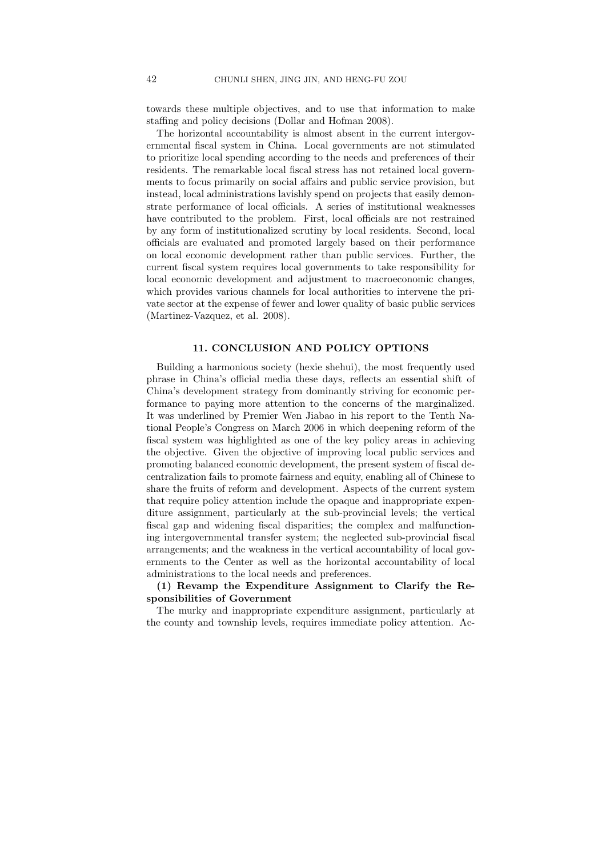towards these multiple objectives, and to use that information to make staffing and policy decisions (Dollar and Hofman 2008).

The horizontal accountability is almost absent in the current intergovernmental fiscal system in China. Local governments are not stimulated to prioritize local spending according to the needs and preferences of their residents. The remarkable local fiscal stress has not retained local governments to focus primarily on social affairs and public service provision, but instead, local administrations lavishly spend on projects that easily demonstrate performance of local officials. A series of institutional weaknesses have contributed to the problem. First, local officials are not restrained by any form of institutionalized scrutiny by local residents. Second, local officials are evaluated and promoted largely based on their performance on local economic development rather than public services. Further, the current fiscal system requires local governments to take responsibility for local economic development and adjustment to macroeconomic changes, which provides various channels for local authorities to intervene the private sector at the expense of fewer and lower quality of basic public services (Martinez-Vazquez, et al. 2008).

#### **11. CONCLUSION AND POLICY OPTIONS**

Building a harmonious society (hexie shehui), the most frequently used phrase in China's official media these days, reflects an essential shift of China's development strategy from dominantly striving for economic performance to paying more attention to the concerns of the marginalized. It was underlined by Premier Wen Jiabao in his report to the Tenth National People's Congress on March 2006 in which deepening reform of the fiscal system was highlighted as one of the key policy areas in achieving the objective. Given the objective of improving local public services and promoting balanced economic development, the present system of fiscal decentralization fails to promote fairness and equity, enabling all of Chinese to share the fruits of reform and development. Aspects of the current system that require policy attention include the opaque and inappropriate expenditure assignment, particularly at the sub-provincial levels; the vertical fiscal gap and widening fiscal disparities; the complex and malfunctioning intergovernmental transfer system; the neglected sub-provincial fiscal arrangements; and the weakness in the vertical accountability of local governments to the Center as well as the horizontal accountability of local administrations to the local needs and preferences.

# **(1) Revamp the Expenditure Assignment to Clarify the Responsibilities of Government**

The murky and inappropriate expenditure assignment, particularly at the county and township levels, requires immediate policy attention. Ac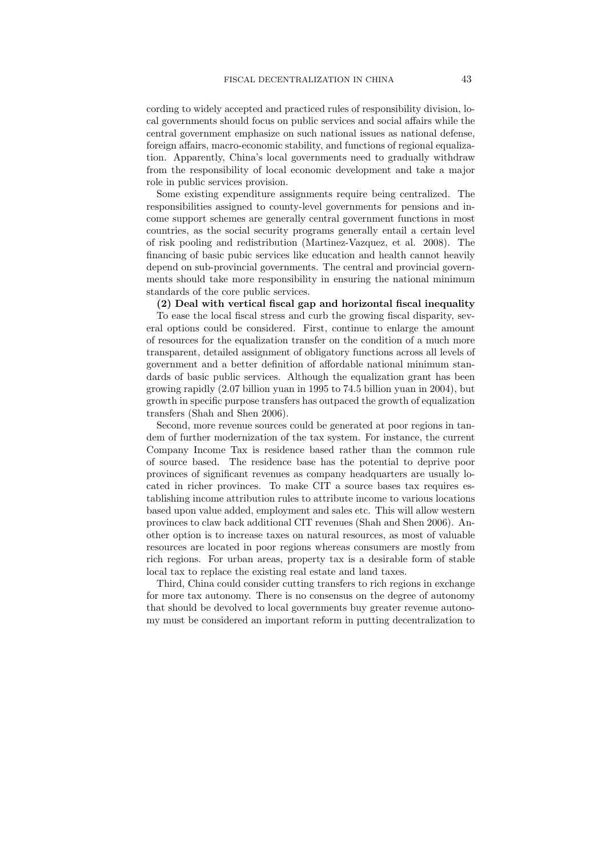cording to widely accepted and practiced rules of responsibility division, local governments should focus on public services and social affairs while the central government emphasize on such national issues as national defense, foreign affairs, macro-economic stability, and functions of regional equalization. Apparently, China's local governments need to gradually withdraw from the responsibility of local economic development and take a major role in public services provision.

Some existing expenditure assignments require being centralized. The responsibilities assigned to county-level governments for pensions and income support schemes are generally central government functions in most countries, as the social security programs generally entail a certain level of risk pooling and redistribution (Martinez-Vazquez, et al. 2008). The financing of basic pubic services like education and health cannot heavily depend on sub-provincial governments. The central and provincial governments should take more responsibility in ensuring the national minimum standards of the core public services.

**(2) Deal with vertical fiscal gap and horizontal fiscal inequality**

To ease the local fiscal stress and curb the growing fiscal disparity, several options could be considered. First, continue to enlarge the amount of resources for the equalization transfer on the condition of a much more transparent, detailed assignment of obligatory functions across all levels of government and a better definition of affordable national minimum standards of basic public services. Although the equalization grant has been growing rapidly (2.07 billion yuan in 1995 to 74.5 billion yuan in 2004), but growth in specific purpose transfers has outpaced the growth of equalization transfers (Shah and Shen 2006).

Second, more revenue sources could be generated at poor regions in tandem of further modernization of the tax system. For instance, the current Company Income Tax is residence based rather than the common rule of source based. The residence base has the potential to deprive poor provinces of significant revenues as company headquarters are usually located in richer provinces. To make CIT a source bases tax requires establishing income attribution rules to attribute income to various locations based upon value added, employment and sales etc. This will allow western provinces to claw back additional CIT revenues (Shah and Shen 2006). Another option is to increase taxes on natural resources, as most of valuable resources are located in poor regions whereas consumers are mostly from rich regions. For urban areas, property tax is a desirable form of stable local tax to replace the existing real estate and land taxes.

Third, China could consider cutting transfers to rich regions in exchange for more tax autonomy. There is no consensus on the degree of autonomy that should be devolved to local governments buy greater revenue autonomy must be considered an important reform in putting decentralization to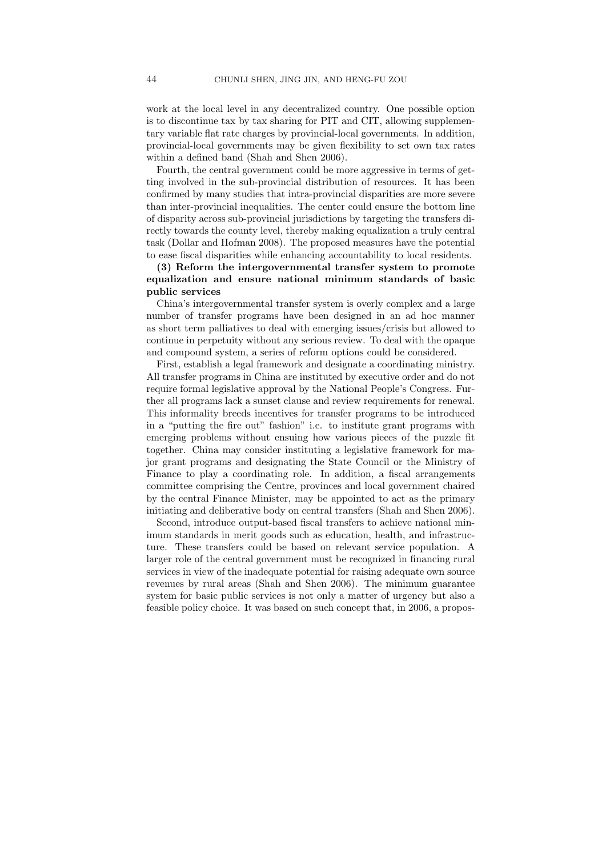work at the local level in any decentralized country. One possible option is to discontinue tax by tax sharing for PIT and CIT, allowing supplementary variable flat rate charges by provincial-local governments. In addition, provincial-local governments may be given flexibility to set own tax rates within a defined band (Shah and Shen 2006).

Fourth, the central government could be more aggressive in terms of getting involved in the sub-provincial distribution of resources. It has been confirmed by many studies that intra-provincial disparities are more severe than inter-provincial inequalities. The center could ensure the bottom line of disparity across sub-provincial jurisdictions by targeting the transfers directly towards the county level, thereby making equalization a truly central task (Dollar and Hofman 2008). The proposed measures have the potential to ease fiscal disparities while enhancing accountability to local residents.

**(3) Reform the intergovernmental transfer system to promote equalization and ensure national minimum standards of basic public services**

China's intergovernmental transfer system is overly complex and a large number of transfer programs have been designed in an ad hoc manner as short term palliatives to deal with emerging issues/crisis but allowed to continue in perpetuity without any serious review. To deal with the opaque and compound system, a series of reform options could be considered.

First, establish a legal framework and designate a coordinating ministry. All transfer programs in China are instituted by executive order and do not require formal legislative approval by the National People's Congress. Further all programs lack a sunset clause and review requirements for renewal. This informality breeds incentives for transfer programs to be introduced in a "putting the fire out" fashion" i.e. to institute grant programs with emerging problems without ensuing how various pieces of the puzzle fit together. China may consider instituting a legislative framework for major grant programs and designating the State Council or the Ministry of Finance to play a coordinating role. In addition, a fiscal arrangements committee comprising the Centre, provinces and local government chaired by the central Finance Minister, may be appointed to act as the primary initiating and deliberative body on central transfers (Shah and Shen 2006).

Second, introduce output-based fiscal transfers to achieve national minimum standards in merit goods such as education, health, and infrastructure. These transfers could be based on relevant service population. A larger role of the central government must be recognized in financing rural services in view of the inadequate potential for raising adequate own source revenues by rural areas (Shah and Shen 2006). The minimum guarantee system for basic public services is not only a matter of urgency but also a feasible policy choice. It was based on such concept that, in 2006, a propos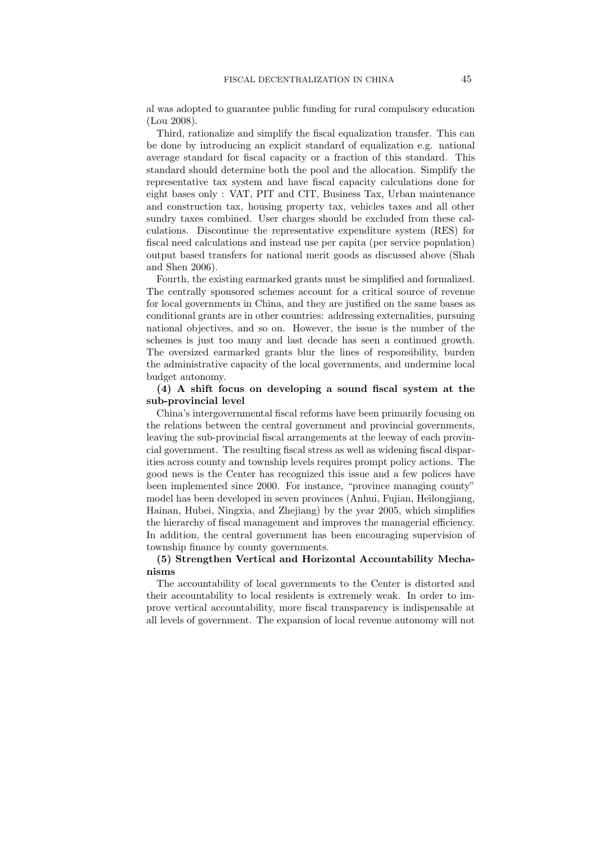al was adopted to guarantee public funding for rural compulsory education (Lou 2008).

Third, rationalize and simplify the fiscal equalization transfer. This can be done by introducing an explicit standard of equalization e.g. national average standard for fiscal capacity or a fraction of this standard. This standard should determine both the pool and the allocation. Simplify the representative tax system and have fiscal capacity calculations done for eight bases only : VAT, PIT and CIT, Business Tax, Urban maintenance and construction tax, housing property tax, vehicles taxes and all other sundry taxes combined. User charges should be excluded from these calculations. Discontinue the representative expenditure system (RES) for fiscal need calculations and instead use per capita (per service population) output based transfers for national merit goods as discussed above (Shah and Shen 2006).

Fourth, the existing earmarked grants must be simplified and formalized. The centrally sponsored schemes account for a critical source of revenue for local governments in China, and they are justified on the same bases as conditional grants are in other countries: addressing externalities, pursuing national objectives, and so on. However, the issue is the number of the schemes is just too many and last decade has seen a continued growth. The oversized earmarked grants blur the lines of responsibility, burden the administrative capacity of the local governments, and undermine local budget autonomy.

# **(4) A shift focus on developing a sound fiscal system at the sub-provincial level**

China's intergovernmental fiscal reforms have been primarily focusing on the relations between the central government and provincial governments, leaving the sub-provincial fiscal arrangements at the leeway of each provincial government. The resulting fiscal stress as well as widening fiscal disparities across county and township levels requires prompt policy actions. The good news is the Center has recognized this issue and a few polices have been implemented since 2000. For instance, "province managing county" model has been developed in seven provinces (Anhui, Fujian, Heilongjiang, Hainan, Hubei, Ningxia, and Zhejiang) by the year 2005, which simplifies the hierarchy of fiscal management and improves the managerial efficiency. In addition, the central government has been encouraging supervision of township finance by county governments.

## **(5) Strengthen Vertical and Horizontal Accountability Mechanisms**

The accountability of local governments to the Center is distorted and their accountability to local residents is extremely weak. In order to improve vertical accountability, more fiscal transparency is indispensable at all levels of government. The expansion of local revenue autonomy will not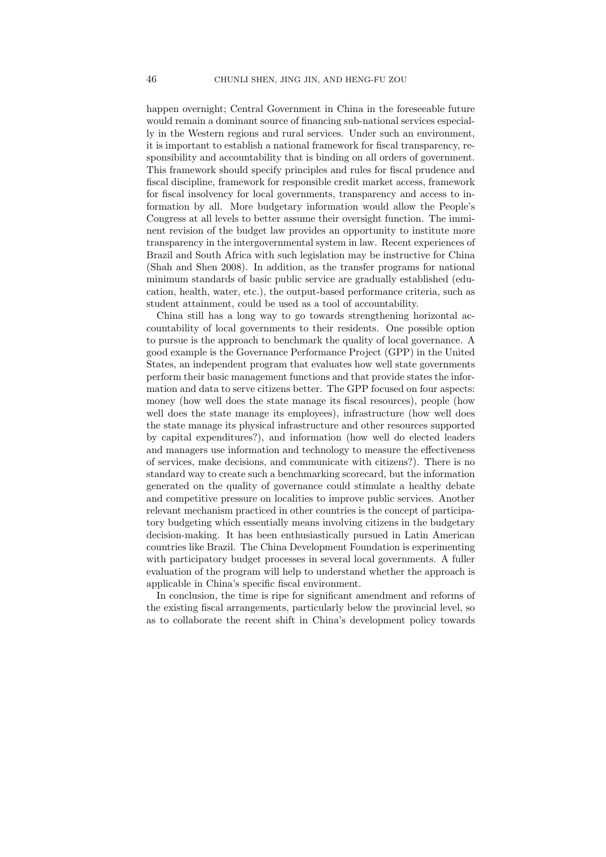happen overnight; Central Government in China in the foreseeable future would remain a dominant source of financing sub-national services especially in the Western regions and rural services. Under such an environment, it is important to establish a national framework for fiscal transparency, responsibility and accountability that is binding on all orders of government. This framework should specify principles and rules for fiscal prudence and fiscal discipline, framework for responsible credit market access, framework for fiscal insolvency for local governments, transparency and access to information by all. More budgetary information would allow the People's Congress at all levels to better assume their oversight function. The imminent revision of the budget law provides an opportunity to institute more transparency in the intergovernmental system in law. Recent experiences of Brazil and South Africa with such legislation may be instructive for China (Shah and Shen 2008). In addition, as the transfer programs for national minimum standards of basic public service are gradually established (education, health, water, etc.), the output-based performance criteria, such as student attainment, could be used as a tool of accountability.

China still has a long way to go towards strengthening horizontal accountability of local governments to their residents. One possible option to pursue is the approach to benchmark the quality of local governance. A good example is the Governance Performance Project (GPP) in the United States, an independent program that evaluates how well state governments perform their basic management functions and that provide states the information and data to serve citizens better. The GPP focused on four aspects: money (how well does the state manage its fiscal resources), people (how well does the state manage its employees), infrastructure (how well does the state manage its physical infrastructure and other resources supported by capital expenditures?), and information (how well do elected leaders and managers use information and technology to measure the effectiveness of services, make decisions, and communicate with citizens?). There is no standard way to create such a benchmarking scorecard, but the information generated on the quality of governance could stimulate a healthy debate and competitive pressure on localities to improve public services. Another relevant mechanism practiced in other countries is the concept of participatory budgeting which essentially means involving citizens in the budgetary decision-making. It has been enthusiastically pursued in Latin American countries like Brazil. The China Development Foundation is experimenting with participatory budget processes in several local governments. A fuller evaluation of the program will help to understand whether the approach is applicable in China's specific fiscal environment.

In conclusion, the time is ripe for significant amendment and reforms of the existing fiscal arrangements, particularly below the provincial level, so as to collaborate the recent shift in China's development policy towards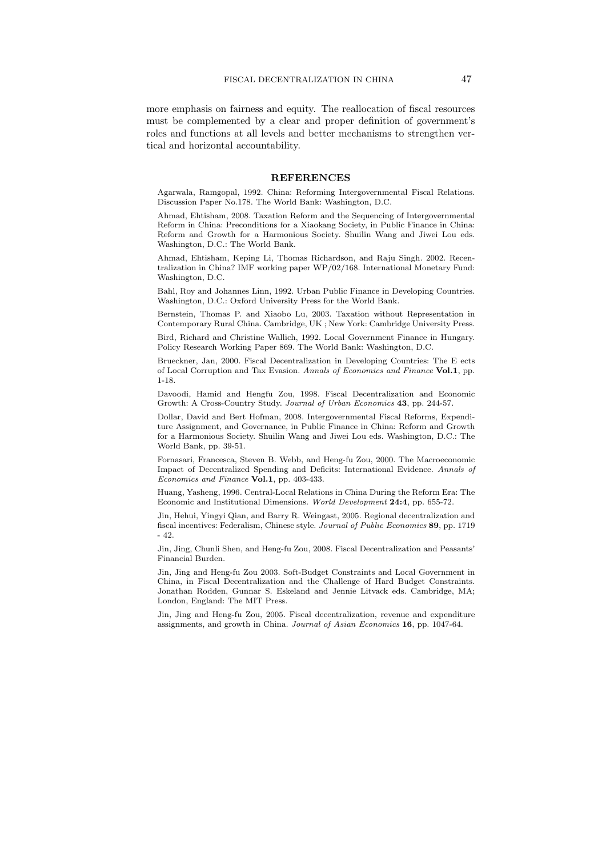more emphasis on fairness and equity. The reallocation of fiscal resources must be complemented by a clear and proper definition of government's roles and functions at all levels and better mechanisms to strengthen vertical and horizontal accountability.

#### **REFERENCES**

Agarwala, Ramgopal, 1992. China: Reforming Intergovernmental Fiscal Relations. Discussion Paper No.178. The World Bank: Washington, D.C.

Ahmad, Ehtisham, 2008. Taxation Reform and the Sequencing of Intergovernmental Reform in China: Preconditions for a Xiaokang Society, in Public Finance in China: Reform and Growth for a Harmonious Society. Shuilin Wang and Jiwei Lou eds. Washington, D.C.: The World Bank.

Ahmad, Ehtisham, Keping Li, Thomas Richardson, and Raju Singh. 2002. Recentralization in China? IMF working paper WP/02/168. International Monetary Fund: Washington, D.C.

Bahl, Roy and Johannes Linn, 1992. Urban Public Finance in Developing Countries. Washington, D.C.: Oxford University Press for the World Bank.

Bernstein, Thomas P. and Xiaobo Lu, 2003. Taxation without Representation in Contemporary Rural China. Cambridge, UK ; New York: Cambridge University Press.

Bird, Richard and Christine Wallich, 1992. Local Government Finance in Hungary. Policy Research Working Paper 869. The World Bank: Washington, D.C.

Brueckner, Jan, 2000. Fiscal Decentralization in Developing Countries: The E ects of Local Corruption and Tax Evasion. *Annals of Economics and Finance* **Vol.1**, pp. 1-18.

Davoodi, Hamid and Hengfu Zou, 1998. Fiscal Decentralization and Economic Growth: A Cross-Country Study. *Journal of Urban Economics* **43**, pp. 244-57.

Dollar, David and Bert Hofman, 2008. Intergovernmental Fiscal Reforms, Expenditure Assignment, and Governance, in Public Finance in China: Reform and Growth for a Harmonious Society. Shuilin Wang and Jiwei Lou eds. Washington, D.C.: The World Bank, pp. 39-51.

Fornasari, Francesca, Steven B. Webb, and Heng-fu Zou, 2000. The Macroeconomic Impact of Decentralized Spending and Deficits: International Evidence. *Annals of Economics and Finance* **Vol.1**, pp. 403-433.

Huang, Yasheng, 1996. Central-Local Relations in China During the Reform Era: The Economic and Institutional Dimensions. *World Development* **24:4**, pp. 655-72.

Jin, Hehui, Yingyi Qian, and Barry R. Weingast, 2005. Regional decentralization and fiscal incentives: Federalism, Chinese style. *Journal of Public Economics* **89**, pp. 1719  $-42.$ 

Jin, Jing, Chunli Shen, and Heng-fu Zou, 2008. Fiscal Decentralization and Peasants' Financial Burden.

Jin, Jing and Heng-fu Zou 2003. Soft-Budget Constraints and Local Government in China, in Fiscal Decentralization and the Challenge of Hard Budget Constraints. Jonathan Rodden, Gunnar S. Eskeland and Jennie Litvack eds. Cambridge, MA; London, England: The MIT Press.

Jin, Jing and Heng-fu Zou, 2005. Fiscal decentralization, revenue and expenditure assignments, and growth in China. *Journal of Asian Economics* **16**, pp. 1047-64.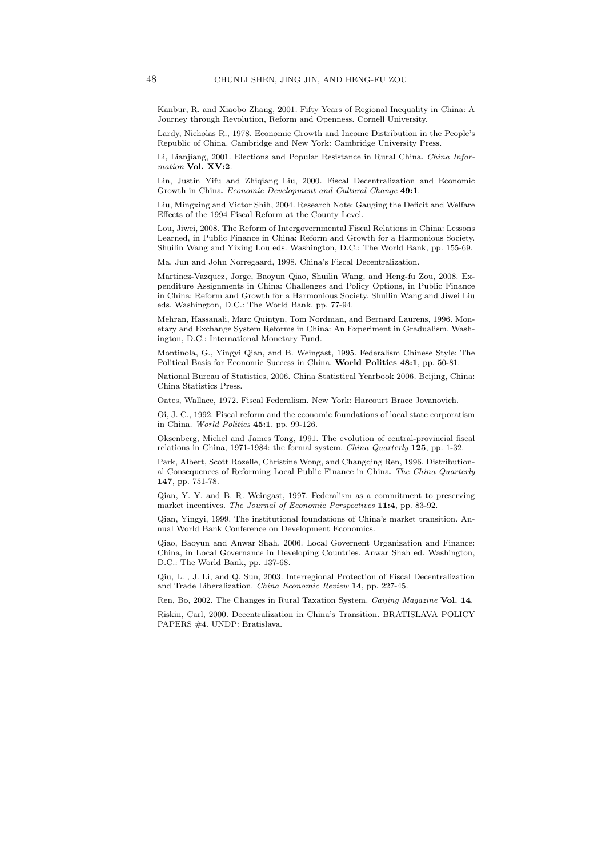Kanbur, R. and Xiaobo Zhang, 2001. Fifty Years of Regional Inequality in China: A Journey through Revolution, Reform and Openness. Cornell University.

Lardy, Nicholas R., 1978. Economic Growth and Income Distribution in the People's Republic of China. Cambridge and New York: Cambridge University Press.

Li, Lianjiang, 2001. Elections and Popular Resistance in Rural China. *China Information* **Vol. XV:2**.

Lin, Justin Yifu and Zhiqiang Liu, 2000. Fiscal Decentralization and Economic Growth in China. *Economic Development and Cultural Change* **49:1**.

Liu, Mingxing and Victor Shih, 2004. Research Note: Gauging the Deficit and Welfare Effects of the 1994 Fiscal Reform at the County Level.

Lou, Jiwei, 2008. The Reform of Intergovernmental Fiscal Relations in China: Lessons Learned, in Public Finance in China: Reform and Growth for a Harmonious Society. Shuilin Wang and Yixing Lou eds. Washington, D.C.: The World Bank, pp. 155-69.

Ma, Jun and John Norregaard, 1998. China's Fiscal Decentralization.

Martinez-Vazquez, Jorge, Baoyun Qiao, Shuilin Wang, and Heng-fu Zou, 2008. Expenditure Assignments in China: Challenges and Policy Options, in Public Finance in China: Reform and Growth for a Harmonious Society. Shuilin Wang and Jiwei Liu eds. Washington, D.C.: The World Bank, pp. 77-94.

Mehran, Hassanali, Marc Quintyn, Tom Nordman, and Bernard Laurens, 1996. Monetary and Exchange System Reforms in China: An Experiment in Gradualism. Washington, D.C.: International Monetary Fund.

Montinola, G., Yingyi Qian, and B. Weingast, 1995. Federalism Chinese Style: The Political Basis for Economic Success in China. **World Politics 48:1**, pp. 50-81.

National Bureau of Statistics, 2006. China Statistical Yearbook 2006. Beijing, China: China Statistics Press.

Oates, Wallace, 1972. Fiscal Federalism. New York: Harcourt Brace Jovanovich.

Oi, J. C., 1992. Fiscal reform and the economic foundations of local state corporatism in China. *World Politics* **45:1**, pp. 99-126.

Oksenberg, Michel and James Tong, 1991. The evolution of central-provincial fiscal relations in China, 1971-1984: the formal system. *China Quarterly* **125**, pp. 1-32.

Park, Albert, Scott Rozelle, Christine Wong, and Changqing Ren, 1996. Distributional Consequences of Reforming Local Public Finance in China. *The China Quarterly* **147**, pp. 751-78.

Qian, Y. Y. and B. R. Weingast, 1997. Federalism as a commitment to preserving market incentives. *The Journal of Economic Perspectives* **11:4**, pp. 83-92.

Qian, Yingyi, 1999. The institutional foundations of China's market transition. Annual World Bank Conference on Development Economics.

Qiao, Baoyun and Anwar Shah, 2006. Local Governent Organization and Finance: China, in Local Governance in Developing Countries. Anwar Shah ed. Washington, D.C.: The World Bank, pp. 137-68.

Qiu, L. , J. Li, and Q. Sun, 2003. Interregional Protection of Fiscal Decentralization and Trade Liberalization. *China Economic Review* **14**, pp. 227-45.

Ren, Bo, 2002. The Changes in Rural Taxation System. *Caijing Magazine* **Vol. 14**.

Riskin, Carl, 2000. Decentralization in China's Transition. BRATISLAVA POLICY PAPERS #4. UNDP: Bratislava.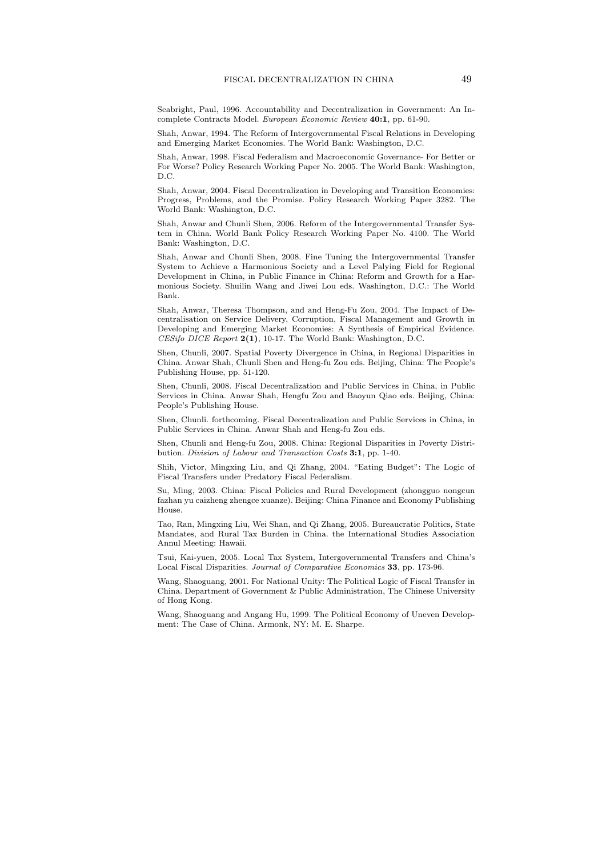Seabright, Paul, 1996. Accountability and Decentralization in Government: An Incomplete Contracts Model. *European Economic Review* **40:1**, pp. 61-90.

Shah, Anwar, 1994. The Reform of Intergovernmental Fiscal Relations in Developing and Emerging Market Economies. The World Bank: Washington, D.C.

Shah, Anwar, 1998. Fiscal Federalism and Macroeconomic Governance- For Better or For Worse? Policy Research Working Paper No. 2005. The World Bank: Washington, D.C.

Shah, Anwar, 2004. Fiscal Decentralization in Developing and Transition Economies: Progress, Problems, and the Promise. Policy Research Working Paper 3282. The World Bank: Washington, D.C.

Shah, Anwar and Chunli Shen, 2006. Reform of the Intergovernmental Transfer System in China. World Bank Policy Research Working Paper No. 4100. The World Bank: Washington, D.C.

Shah, Anwar and Chunli Shen, 2008. Fine Tuning the Intergovernmental Transfer System to Achieve a Harmonious Society and a Level Palying Field for Regional Development in China, in Public Finance in China: Reform and Growth for a Harmonious Society. Shuilin Wang and Jiwei Lou eds. Washington, D.C.: The World Bank.

Shah, Anwar, Theresa Thompson, and and Heng-Fu Zou, 2004. The Impact of Decentralisation on Service Delivery, Corruption, Fiscal Management and Growth in Developing and Emerging Market Economies: A Synthesis of Empirical Evidence. *CESifo DICE Report* **2(1)**, 10-17. The World Bank: Washington, D.C.

Shen, Chunli, 2007. Spatial Poverty Divergence in China, in Regional Disparities in China. Anwar Shah, Chunli Shen and Heng-fu Zou eds. Beijing, China: The People's Publishing House, pp. 51-120.

Shen, Chunli, 2008. Fiscal Decentralization and Public Services in China, in Public Services in China. Anwar Shah, Hengfu Zou and Baoyun Qiao eds. Beijing, China: People's Publishing House.

Shen, Chunli. forthcoming. Fiscal Decentralization and Public Services in China, in Public Services in China. Anwar Shah and Heng-fu Zou eds.

Shen, Chunli and Heng-fu Zou, 2008. China: Regional Disparities in Poverty Distribution. *Division of Labour and Transaction Costs* **3:1**, pp. 1-40.

Shih, Victor, Mingxing Liu, and Qi Zhang, 2004. "Eating Budget": The Logic of Fiscal Transfers under Predatory Fiscal Federalism.

Su, Ming, 2003. China: Fiscal Policies and Rural Development (zhongguo nongcun fazhan yu caizheng zhengce xuanze). Beijing: China Finance and Economy Publishing House.

Tao, Ran, Mingxing Liu, Wei Shan, and Qi Zhang, 2005. Bureaucratic Politics, State Mandates, and Rural Tax Burden in China. the International Studies Association Annul Meeting: Hawaii.

Tsui, Kai-yuen, 2005. Local Tax System, Intergovernmental Transfers and China's Local Fiscal Disparities. *Journal of Comparative Economics* **33**, pp. 173-96.

Wang, Shaoguang, 2001. For National Unity: The Political Logic of Fiscal Transfer in China. Department of Government & Public Administration, The Chinese University of Hong Kong.

Wang, Shaoguang and Angang Hu, 1999. The Political Economy of Uneven Development: The Case of China. Armonk, NY: M. E. Sharpe.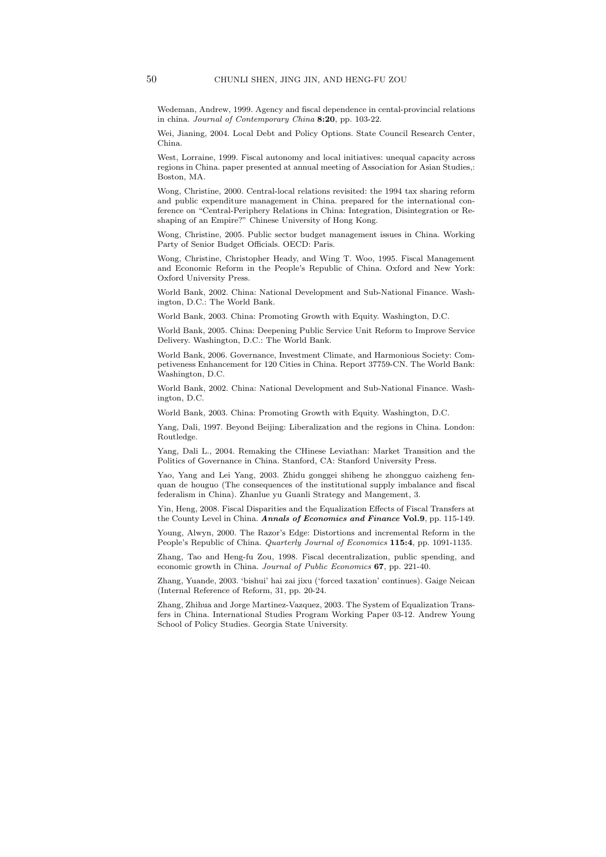Wedeman, Andrew, 1999. Agency and fiscal dependence in cental-provincial relations in china. *Journal of Contemporary China* **8:20**, pp. 103-22.

Wei, Jianing, 2004. Local Debt and Policy Options. State Council Research Center, China.

West, Lorraine, 1999. Fiscal autonomy and local initiatives: unequal capacity across regions in China. paper presented at annual meeting of Association for Asian Studies,: Boston, MA.

Wong, Christine, 2000. Central-local relations revisited: the 1994 tax sharing reform and public expenditure management in China. prepared for the international conference on "Central-Periphery Relations in China: Integration, Disintegration or Reshaping of an Empire?" Chinese University of Hong Kong.

Wong, Christine, 2005. Public sector budget management issues in China. Working Party of Senior Budget Officials. OECD: Paris.

Wong, Christine, Christopher Heady, and Wing T. Woo, 1995. Fiscal Management and Economic Reform in the People's Republic of China. Oxford and New York: Oxford University Press.

World Bank, 2002. China: National Development and Sub-National Finance. Washington, D.C.: The World Bank.

World Bank, 2003. China: Promoting Growth with Equity. Washington, D.C.

World Bank, 2005. China: Deepening Public Service Unit Reform to Improve Service Delivery. Washington, D.C.: The World Bank.

World Bank, 2006. Governance, Investment Climate, and Harmonious Society: Competiveness Enhancement for 120 Cities in China. Report 37759-CN. The World Bank: Washington, D.C.

World Bank, 2002. China: National Development and Sub-National Finance. Washington, D.C.

World Bank, 2003. China: Promoting Growth with Equity. Washington, D.C.

Yang, Dali, 1997. Beyond Beijing: Liberalization and the regions in China. London: Routledge.

Yang, Dali L., 2004. Remaking the CHinese Leviathan: Market Transition and the Politics of Governance in China. Stanford, CA: Stanford University Press.

Yao, Yang and Lei Yang, 2003. Zhidu gonggei shiheng he zhongguo caizheng fenquan de houguo (The consequences of the institutional supply imbalance and fiscal federalism in China). Zhanlue yu Guanli Strategy and Mangement, 3.

Yin, Heng, 2008. Fiscal Disparities and the Equalization Effects of Fiscal Transfers at the County Level in China. *Annals of Economics and Finance* **Vol.9**, pp. 115-149.

Young, Alwyn, 2000. The Razor's Edge: Distortions and incremental Reform in the People's Republic of China. *Quarterly Journal of Economics* **115:4**, pp. 1091-1135.

Zhang, Tao and Heng-fu Zou, 1998. Fiscal decentralization, public spending, and economic growth in China. *Journal of Public Economics* **67**, pp. 221-40.

Zhang, Yuande, 2003. 'bishui' hai zai jixu ('forced taxation' continues). Gaige Neican (Internal Reference of Reform, 31, pp. 20-24.

Zhang, Zhihua and Jorge Martinez-Vazquez, 2003. The System of Equalization Transfers in China. International Studies Program Working Paper 03-12. Andrew Young School of Policy Studies. Georgia State University.